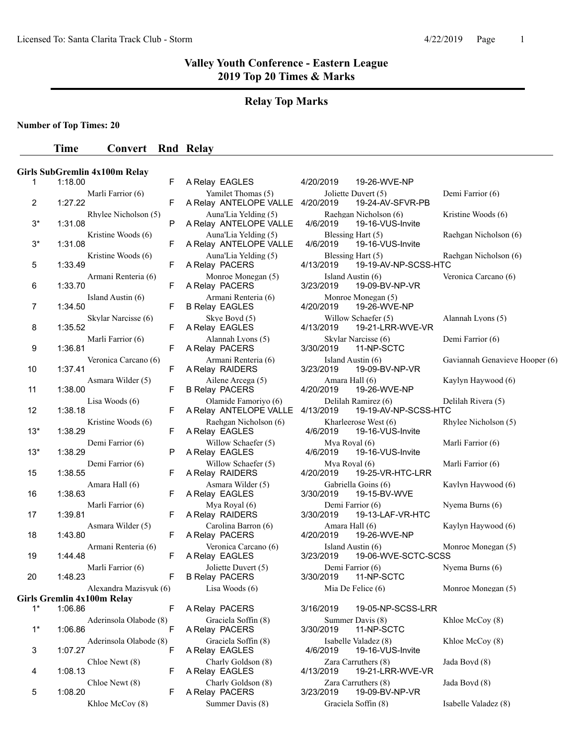#### **Relay Top Marks**

**Number of Top Times: 20**

#### **Time Convert Rnd Relay**

# **Girls SubGremlin 4x100m Relay**  1 1:18.00 F A Relay EAGLES 4/20/2019 19-26-WVE-NP 2 1:27.22 F A Relay ANTELOPE VALLE 4/20/2019 19-24-AV-SFVR-PB 3<sup>\*</sup> 1:31.08 P A Relay ANTELOPE VALLE 3\* 1:31.08 F A Relay ANTELOPE VALLE 4/6/2019 19-16-VUS-Invite 5 A Relay PACERS 4/13/2019 1:33.49 F 19-19-AV-NP-SCSS-HTC 6 1:33.70 F A Relay PACERS Island Austin (6) <br>
F B Relay EAGLES 4/20/2019 19-26-WVE 7 1:34.50 F B Relay EAGLES 4/20/2019 19-26-WVE-NP 8 1:35.52 F A Relay EAGLES 4/13/2019 19-21-LRR-WVE-VR 9 1:36.81 F A Relay PACERS 3/30/2019 11-NP-SCTC 10 1:37.41 **F** A Relay RAIDERS 11 1:38.00 F B Relay PACERS 4/20/2019 12 1:38.18 **F** A Relay ANTELOPE VALLE 4/13/2019 13<sup>\*</sup> 1:38.29 **F** A Relay EAGLES 4/6/2019 19-16-VUS-Invite 13<sup>\*</sup> 1:38.29 P A Relay EAGLES 15 1:38.55 F A Relay RAIDERS 4/20/2019 19-25-VR-HTC-LRR 16 1:38.63 F A Relay EAGLES 3/30/2019 19-15-BV-WVE 17 1:39.81 F A Relay RAIDERS 3/30/2019 19-13-LAF-VR-HTC 18 1:43.80 **F** A Relay PACERS 19 1:44.48 F A Relay EAGLES 3/23/2019 19-06-WVE-SCTC-SCSS 20 1:48.23 F B Relay PACERS 3/30/2019 11-NP-SCTC **Girls Gremlin 4x100m Relay**  1 A Relay PACERS 3/16/2019 \* 1:06.86 F 19-05-NP-SCSS-LRR 1\* 1:06.86 F A Relay PACERS 3/30/2019 11-NP-SCTC 3 1:07.27 F A Relay EAGLES 4 1:08.13 F A Relay EAGLES 4/13/2019 19-21-LRR-WVE-VR 5 1:08.20 F A Relay PACERS

Marli Farrior (6) Yamilet Thomas (5) Joliette Duvert (5) Demi Farrior (6)<br>F A Relay ANTELOPE VALLE 4/20/2019 19-24-AV-SFVR-PB Rhylee Nicholson (5) Auna'Lia Yelding (5) Raehgan Nicholson (6) Kristine Woods (6)<br>
P A Relay ANTELOPE VALLE 4/6/2019 19-16-VUS-Invite Kristine Woods (6) Auna'Lia Yelding (5) Blessing Hart (5) Raehgan Nicholson (6) Kristine Woods (6) Auna'Lia Yelding (5) Blessing Hart (5) Raehgan Nicholson (6)<br>F A Relay PACERS 4/13/2019 19-19-AV-NP-SCSS-HTC Armani Renteria (6) Monroe Monegan (5) Island Austin (6) Veronica Carcano (6)<br>
F A Relay PACERS 3/23/2019 19-09-BV-NP-VR Skylar Narcisse (6) Skye Boyd (5) Willow Schaefer (5) Alannah Lyons (5)<br>F A Relay EAGLES 4/13/2019 19-21-LRR-WVE-VR Marli Farrior (6) Alannah Lyons (5) Skylar Narcisse (6) Demi Farrior (6)<br>
F A Relay PACERS 3/30/2019 11-NP-SCTC Veronica Carcano (6) Armani Renteria (6) Island Austin (6) Gaviannah Genavieve Hooper (6)<br>
F A Relay RAIDERS 3/23/2019 19-09-BV-NP-VR Asmara Wilder (5) <br>
F B Relay PACERS 4/20/2019 19-26-WVE-NP <br>
Amara Hall (6) Kaylyn Haywood (6) Lisa Woods (6) Olamide Famoriyo (6) Delilah Ramirez (6) Delilah Rivera (5)<br>F A Relay ANTELOPE VALLE 4/13/2019 19-19-AV-NP-SCSS-HTC Kristine Woods (6) Raehgan Nicholson (6) Kharleerose West (6) Rhylee Nicholson (5)<br>
F A Relay EAGLES 4/6/2019 19-16-VUS-Invite Demi Farrior (6) Willow Schaefer (5) Mya Royal (6) Marli Farrior (6)<br>
P A Relay EAGLES 4/6/2019 19-16-VUS-Invite Demi Farrior (6) Willow Schaefer (5) Mya Royal (6) Marli Farrior (6) Amara Hall (6) <br>
F A Relay EAGLES 3/30/2019 19-15-BV-WVE Marli Farrior (6) Mya Royal (6) Mya Royal (6) Demi Farrior (6) Nyema Burns (6) Reday RAIDERS 3/30/2019 19-13-LAF-VR-HTC Asmara Wilder (5) Carolina Barron (6) Amara Hall (6) Kaylyn Haywood (6)<br>F A Relay PACERS 4/20/2019 19-26-WVE-NP Armani Renteria (6) Veronica Carcano (6) Island Austin (6) Monroe Monegan (5) Marli Farrior (6) *Joliette Duvert (5)* Demi Farrior (6) Nyema Burns (6)<br>
F B Relav PACERS 3/30/2019 11-NP-SCTC Alexandra Mazisyuk (6) Lisa Woods (6) Mia De Felice (6) Monroe Monegan (5) Aderinsola Olabode (8) Graciela Soffin (8) Summer Davis (8) Khloe McCoy (8) Aderinsola Olabode (8) Graciela Soffin (8) Isabelle Valadez (8) Khloe McCoy (8)<br>F A Relay EAGLES 4/6/2019 19-16-VUS-Invite Chloe Newt (8) Charly Goldson (8) Zara Carruthers (8) Jada Boyd (8) Chloe Newt (8) Charly Goldson (8) Zara Carruthers (8) Jada Boyd (8)<br>
F A Relay PACERS 3/23/2019 19-09-BV-NP-VR Khloe McCoy (8) Summer Davis (8) Graciela Soffin (8) Isabelle Valadez (8)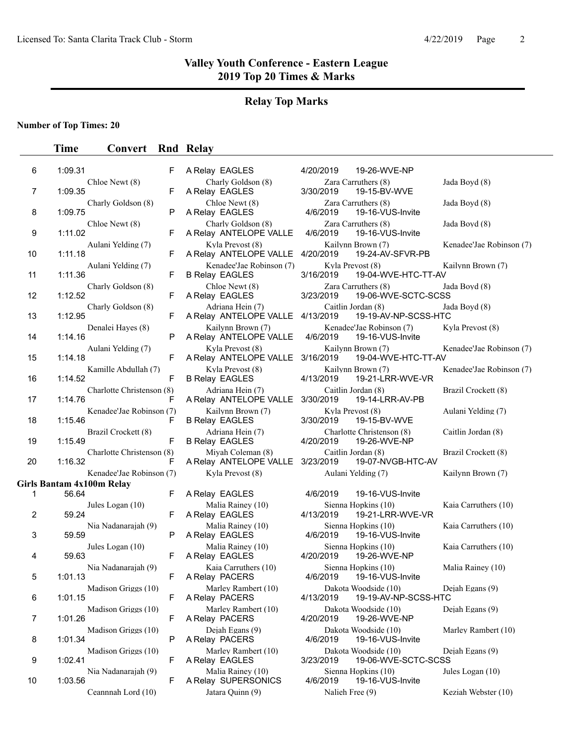#### **Relay Top Marks**

#### **Number of Top Times: 20**

#### **Time Convert Rnd Relay**

| 6  | 1:09.31 |                           | F |
|----|---------|---------------------------|---|
| 7  | 1:09.35 | Chloe Newt (8)            | F |
| 8  | 1:09.75 | Charly Goldson (8)        | P |
| 9  | 1:11.02 | Chloe Newt (8)            | F |
| 10 | 1:11.18 | Aulani Yelding (7)        | F |
| 11 | 1:11.36 | Aulani Yelding (7)        | F |
| 12 | 1:12.52 | Charly Goldson (8)        | F |
| 13 | 1:12.95 | Charly Goldson (8)        | F |
| 14 | 1:14.16 | Denalei Hayes (8)         | Ρ |
|    |         | Aulani Yelding (7)        |   |
| 15 | 1:14.18 | Kamille Abdullah (7)      | F |
| 16 | 1:14.52 | Charlotte Christenson (8) | F |
| 17 | 1:14.76 | Kenadee'Jae Robinson (7)  | F |
| 18 | 1:15.46 | Brazil Crockett (8)       | F |
| 19 | 1:15.49 | Charlotte Christenson (8) | F |
| 20 | 1:16.32 | Kenadee'Jae Robinson (7)  | F |
|    |         | Girls Bantam 4x100m Relay |   |
| 1  | 56.64   |                           | F |
| 2  | 59.24   | Jules Logan (10)          | F |
| 3  | 59.59   | Nia Nadanarajah (9)       | P |
| 4  | 59.63   | Jules Logan (10)          | F |
| 5  | 1:01.13 | Nia Nadanarajah (9)       | F |
| 6  | 1:01.15 | Madison Griggs (10)       | F |
| 7  | 1:01.26 | Madison Griggs (10)       | F |
| 8  | 1:01.34 | Madison Griggs (10)       | Ρ |
| 9  | 1:02.41 | Madison Griggs (10)       | F |
|    |         | Nia Nadanarajah (9)       |   |
| 10 | 1:03.56 |                           | F |

|                                       | F | A Relay EAGLES                                       | 4/20/2019       | 19-26-WVE-NP                                 |                          |
|---------------------------------------|---|------------------------------------------------------|-----------------|----------------------------------------------|--------------------------|
| Chloe Newt (8)                        | F | Charly Goldson (8)<br>A Relay EAGLES                 | 3/30/2019       | Zara Carruthers (8)<br>19-15-BV-WVE          | Jada Boyd (8)            |
| Charly Goldson (8)                    | P | Chloe Newt (8)<br>A Relay EAGLES                     | 4/6/2019        | Zara Carruthers (8)<br>19-16-VUS-Invite      | Jada Boyd (8)            |
| Chloe Newt (8)                        | F | Charly Goldson (8)<br>A Relay ANTELOPE VALLE         | 4/6/2019        | Zara Carruthers (8)<br>19-16-VUS-Invite      | Jada Boyd (8)            |
| Aulani Yelding (7)                    | F | Kyla Prevost (8)<br>A Relay ANTELOPE VALLE           | 4/20/2019       | Kailynn Brown (7)<br>19-24-AV-SFVR-PB        | Kenadee'Jae Robinson (7) |
| Aulani Yelding (7)                    | F | Kenadee'Jae Robinson (7)<br><b>B Relay EAGLES</b>    | 3/16/2019       | Kyla Prevost (8)<br>19-04-WVE-HTC-TT-AV      | Kailynn Brown (7)        |
| Charly Goldson (8)                    | F | Chloe Newt (8)<br>A Relay EAGLES                     | 3/23/2019       | Zara Carruthers (8)<br>19-06-WVE-SCTC-SCSS   | Jada Boyd (8)            |
| Charly Goldson (8)                    | F | Adriana Hein (7)<br>A Relay ANTELOPE VALLE 4/13/2019 |                 | Caitlin Jordan (8)<br>19-19-AV-NP-SCSS-HTC   | Jada Boyd (8)            |
| Denalei Hayes (8)                     | P | Kailynn Brown (7)<br>A Relay ANTELOPE VALLE          | 4/6/2019        | Kenadee'Jae Robinson (7)<br>19-16-VUS-Invite | Kyla Prevost (8)         |
| Aulani Yelding (7)                    | F | Kyla Prevost (8)<br>A Relay ANTELOPE VALLE           | 3/16/2019       | Kailynn Brown (7)<br>19-04-WVE-HTC-TT-AV     | Kenadee'Jae Robinson (7) |
| Kamille Abdullah (7)                  | F | Kyla Prevost (8)<br><b>B Relay EAGLES</b>            | 4/13/2019       | Kailynn Brown (7)<br>19-21-LRR-WVE-VR        | Kenadee'Jae Robinson (7) |
| Charlotte Christenson (8)             | F | Adriana Hein (7)<br>A Relay ANTELOPE VALLE           | 3/30/2019       | Caitlin Jordan (8)<br>19-14-LRR-AV-PB        | Brazil Crockett (8)      |
| Kenadee'Jae Robinson (7)              | F | Kailynn Brown (7)<br><b>B Relay EAGLES</b>           | 3/30/2019       | Kyla Prevost (8)<br>19-15-BV-WVE             | Aulani Yelding (7)       |
| Brazil Crockett (8)                   | F | Adriana Hein (7)<br><b>B Relay EAGLES</b>            | 4/20/2019       | Charlotte Christenson (8)<br>19-26-WVE-NP    | Caitlin Jordan (8)       |
| Charlotte Christenson (8)             | F | Miyah Coleman (8)<br>A Relay ANTELOPE VALLE          | 3/23/2019       | Caitlin Jordan (8)<br>19-07-NVGB-HTC-AV      | Brazil Crockett (8)      |
| Kenadee'Jae Robinson (7)<br>00m Relay |   | Kyla Prevost (8)                                     |                 | Aulani Yelding (7)                           | Kailynn Brown (7)        |
|                                       | F | A Relay EAGLES                                       | 4/6/2019        | 19-16-VUS-Invite                             |                          |
| Jules Logan (10)                      | F | Malia Rainey (10)<br>A Relay EAGLES                  | 4/13/2019       | Sienna Hopkins (10)<br>19-21-LRR-WVE-VR      | Kaia Carruthers (10)     |
| Nia Nadanarajah (9)                   | P | Malia Rainey (10)<br>A Relay EAGLES                  | 4/6/2019        | Sienna Hopkins (10)<br>19-16-VUS-Invite      | Kaia Carruthers (10)     |
| Jules Logan (10)                      | F | Malia Rainey (10)<br>A Relay EAGLES                  | 4/20/2019       | Sienna Hopkins (10)<br>19-26-WVE-NP          | Kaia Carruthers (10)     |
| Nia Nadanarajah (9)                   | F | Kaia Carruthers (10)<br>A Relay PACERS               | 4/6/2019        | Sienna Hopkins (10)<br>19-16-VUS-Invite      | Malia Rainey (10)        |
| Madison Griggs (10)                   | F | Marley Rambert (10)<br>A Relay PACERS                | 4/13/2019       | Dakota Woodside (10)<br>19-19-AV-NP-SCSS-HTC | Dejah Egans (9)          |
| Madison Griggs (10)                   | F | Marley Rambert (10)<br>A Relay PACERS                | 4/20/2019       | Dakota Woodside (10)<br>19-26-WVE-NP         | Dejah Egans (9)          |
| Madison Griggs (10)                   | P | Dejah Egans (9)<br>A Relay PACERS                    | 4/6/2019        | Dakota Woodside (10)<br>19-16-VUS-Invite     | Marley Rambert (10)      |
| Madison Griggs (10)                   | F | Marley Rambert (10)<br>A Relay EAGLES                | 3/23/2019       | Dakota Woodside (10)<br>19-06-WVE-SCTC-SCSS  | Dejah Egans (9)          |
| Nia Nadanarajah (9)                   | F | Malia Rainey (10)<br>A Relay SUPERSONICS             | 4/6/2019        | Sienna Hopkins (10)<br>19-16-VUS-Invite      | Jules Logan (10)         |
| Ceannnah Lord (10)                    |   | Jatara Quinn (9)                                     | Nalieh Free (9) |                                              | Keziah Webster (10)      |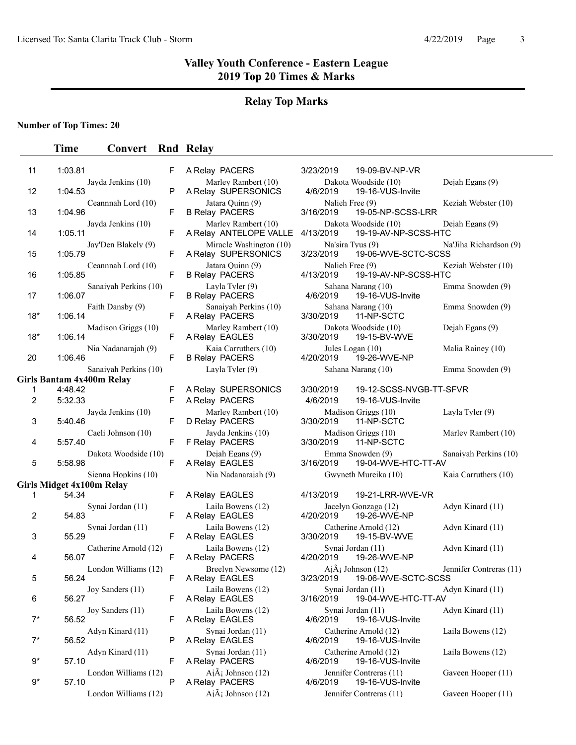#### **Relay Top Marks**

#### **Number of Top Times: 20**

# **Time Convert Rnd Relay**

| 11                  | 1:03.81                          | F      | A Relay PACERS                                 | 3/23/2019                      | 19-09-BV-NP-VR                                      |                |
|---------------------|----------------------------------|--------|------------------------------------------------|--------------------------------|-----------------------------------------------------|----------------|
| 12                  | Jayda Jenkins (10)<br>1:04.53    | P      | Marley Rambert (10)<br>A Relay SUPERSONICS     | 4/6/2019                       | Dakota Woodside (10)<br>19-16-VUS-Invite            | D <sub>6</sub> |
| 13                  | Ceannah Lord (10)<br>1:04.96     | F      | Jatara Quinn (9)<br><b>B Relay PACERS</b>      | Nalieh Free (9)<br>3/16/2019   | 19-05-NP-SCSS-LRR                                   | K <sub>0</sub> |
| 14                  | Jayda Jenkins (10)<br>1:05.11    | F      | Marley Rambert (10)<br>A Relay ANTELOPE VALLE  | 4/13/2019                      | Dakota Woodside (10)<br>19-19-AV-NP-SCSS-HTC        | D <sub>0</sub> |
| 15                  | Jay'Den Blakely (9)<br>1:05.79   | F      | Miracle Washington (10)<br>A Relay SUPERSONICS | Na'sira Tyus (9)<br>3/23/2019  | 19-06-WVE-SCTC-SCSS                                 | N              |
| 16                  | Ceannnah Lord (10)<br>1:05.85    | F      | Jatara Quinn (9)<br><b>B Relay PACERS</b>      | Nalieh Free (9)<br>4/13/2019   | 19-19-AV-NP-SCSS-HTC                                | K٥             |
| 17                  | Sanaiyah Perkins (10)<br>1:06.07 | F      | Layla Tyler (9)<br><b>B Relay PACERS</b>       | 4/6/2019                       | Sahana Narang (10)<br>19-16-VUS-Invite              | Er             |
| $18*$               | Faith Dansby (9)<br>1:06.14      | F      | Sanaiyah Perkins (10)<br>A Relay PACERS        | 3/30/2019                      | Sahana Narang (10)<br>11-NP-SCTC                    | Er             |
| $18*$               | Madison Griggs (10)<br>1:06.14   | F      | Marley Rambert (10)<br>A Relay EAGLES          | 3/30/2019                      | Dakota Woodside (10)<br>19-15-BV-WVE                | D <sub>6</sub> |
| 20                  | Nia Nadanarajah (9)<br>1:06.46   | F      | Kaia Carruthers (10)<br><b>B Relay PACERS</b>  | Jules Logan (10)<br>4/20/2019  | 19-26-WVE-NP                                        | M              |
|                     | Sanaiyah Perkins (10)            |        | Layla Tyler (9)                                |                                | Sahana Narang (10)                                  | Er             |
|                     | <b>Girls Bantam 4x400m Relay</b> |        |                                                |                                |                                                     |                |
| 1<br>$\overline{2}$ | 4:48.42<br>5:32.33               | F<br>F | A Relay SUPERSONICS<br>A Relay PACERS          | 3/30/2019<br>4/6/2019          | 19-12-SCSS-NVGB-TT-S<br>19-16-VUS-Invite            |                |
| 3                   | Jayda Jenkins (10)<br>5:40.46    | F      | Marley Rambert (10)<br>D Relay PACERS          | 3/30/2019                      | Madison Griggs (10)<br>11-NP-SCTC                   | Lε             |
| 4                   | Caeli Johnson (10)<br>5:57.40    | F      | Jayda Jenkins (10)<br>F Relay PACERS           | 3/30/2019                      | Madison Griggs (10)<br>11-NP-SCTC                   | M              |
| 5                   | Dakota Woodside (10)<br>5:58.98  | F      | Dejah Egans (9)<br>A Relay EAGLES              | 3/16/2019                      | Emma Snowden (9)<br>19-04-WVE-HTC-TT-AV             | Sa             |
|                     | Sienna Hopkins (10)              |        | Nia Nadanarajah (9)                            |                                | Gwyneth Mureika (10)                                | K              |
|                     | <b>Girls Midget 4x100m Relay</b> |        |                                                |                                |                                                     |                |
| 1                   | 54.34                            | F      | A Relay EAGLES                                 | 4/13/2019                      | 19-21-LRR-WVE-VR                                    |                |
| 2                   | Synai Jordan (11)<br>54.83       | F      | Laila Bowens (12)<br>A Relay EAGLES            | 4/20/2019                      | Jacelyn Gonzaga (12)<br>19-26-WVE-NP                | A              |
| 3                   | Synai Jordan (11)<br>55.29       | F      | Laila Bowens (12)<br>A Relay EAGLES            | 3/30/2019                      | Catherine Arnold (12)<br>19-15-BV-WVE               | A              |
| 4                   | Catherine Arnold (12)<br>56.07   | F      | Laila Bowens (12)<br>A Relay PACERS            | Synai Jordan (11)<br>4/20/2019 | 19-26-WVE-NP                                        | A              |
| 5                   | London Williams (12)<br>56.24    | F      | Breelyn Newsome (12)<br>A Relay EAGLES         | 3/23/2019                      | $Ai\tilde{A}$ ; Johnson (12)<br>19-06-WVE-SCTC-SCSS | Je.            |
| 6                   | Joy Sanders (11)<br>56.27        | F      | Laila Bowens (12)<br>A Relay EAGLES            | Synai Jordan (11)<br>3/16/2019 | 19-04-WVE-HTC-TT-AV                                 | A              |
| $7^*$               | Joy Sanders (11)<br>56.52        | F      | Laila Bowens (12)<br>A Relay EAGLES            | Synai Jordan (11)<br>4/6/2019  | 19-16-VUS-Invite                                    | A              |
| $7^*$               | Adyn Kinard (11)<br>56.52        | P      | Synai Jordan (11)<br>A Relay EAGLES            | 4/6/2019                       | Catherine Arnold (12)<br>19-16-VUS-Invite           | Lε             |
| $9^*$               | Adyn Kinard (11)<br>57.10        | F      | Svnai Jordan (11)<br>A Relay PACERS            | 4/6/2019                       | Catherine Arnold (12)<br>19-16-VUS-Invite           | Lε             |
| 9*                  | London Williams (12)<br>57.10    | P      | $Ai\tilde{A}$ ; Johnson (12)<br>A Relay PACERS | 4/6/2019                       | Jennifer Contreras (11)<br>19-16-VUS-Invite         | G              |

|  | A REIAY PAUERS                                 |
|--|------------------------------------------------|
|  | Marley Rambert (10)<br>A Relay SUPERSONICS     |
|  | Jatara Quinn (9)                               |
|  | <b>B Relay PACERS</b>                          |
|  | Marley Rambert (10)<br>A Relay ANTELOPE VALLI  |
|  | Miracle Washington (10)<br>A Relay SUPERSONICS |
|  | Jatara Quinn (9)<br><b>B Relay PACERS</b>      |
|  | Layla Tyler (9)<br><b>B Relay PACERS</b>       |
|  | Sanaiyah Perkins (10)<br>A Relay PACERS        |
|  | Marley Rambert (10)<br>A Relay EAGLES          |
|  | Kaia Carruthers (10)<br><b>B Relay PACERS</b>  |
|  | Layla Tyler (9)                                |
|  | A Relay SUPERSONICS                            |
|  | A Relay PACERS                                 |
|  | Marley Rambert (10)<br>D Relay PACERS          |
|  | Jayda Jenkins (10)<br>F Relay PACERS           |
|  | Dejah Egans (9)                                |
|  | A Relay EAGLES<br>Nia Nadanarajah (9)          |
|  |                                                |
|  | A Relay EAGLES<br>Laila Bowens (12)            |
|  | A Relay EAGLES                                 |
|  | Laila Bowens (12)<br>A Relay EAGLES            |
|  | Laila Bowens (12)<br>A Relay PACERS            |
|  | Breelyn Newsome (12)                           |
|  | A Relay EAGLES                                 |

A Relay PACERS London Williams (12)  $A_1\tilde{A}_1$  Johnson (12) Jennifer Contreras (11) Gaveen Hooper (11)

| 1      | 1:03.81                          | F      | A Relay PACERS                                 | 3/23/2019<br>19-09-BV-NP-VR                                          |                         |
|--------|----------------------------------|--------|------------------------------------------------|----------------------------------------------------------------------|-------------------------|
| 2      | Jayda Jenkins (10)<br>1:04.53    | P      | Marley Rambert (10)<br>A Relay SUPERSONICS     | Dakota Woodside (10)<br>4/6/2019<br>19-16-VUS-Invite                 | Dejah Egans (9)         |
| 3      | Ceannah Lord (10)<br>1:04.96     | F      | Jatara Quinn (9)<br><b>B Relay PACERS</b>      | Nalieh Free (9)<br>3/16/2019<br>19-05-NP-SCSS-LRR                    | Keziah Webster (10)     |
| 4      | Javda Jenkins (10)<br>1:05.11    | F      | Marley Rambert (10)<br>A Relay ANTELOPE VALLE  | Dakota Woodside (10)<br>19-19-AV-NP-SCSS-HTC<br>4/13/2019            | Dejah Egans (9)         |
| 5      | Jay'Den Blakely (9)<br>1:05.79   | F      | Miracle Washington (10)<br>A Relay SUPERSONICS | Na'sira Tyus (9)<br>3/23/2019<br>19-06-WVE-SCTC-SCSS                 | Na'Jiha Richardson (9)  |
| 6      | Ceannnah Lord (10)<br>1:05.85    | F      | Jatara Quinn (9)<br><b>B Relay PACERS</b>      | Nalieh Free (9)<br>19-19-AV-NP-SCSS-HTC<br>4/13/2019                 | Keziah Webster (10)     |
| 7      | Sanaivah Perkins (10)<br>1:06.07 | F      | Layla Tyler (9)<br><b>B Relay PACERS</b>       | Sahana Narang (10)<br>4/6/2019<br>19-16-VUS-Invite                   | Emma Snowden (9)        |
| 8*     | Faith Dansby (9)<br>1:06.14      | F      | Sanaiyah Perkins (10)<br>A Relay PACERS        | Sahana Narang (10)<br>3/30/2019<br>11-NP-SCTC                        | Emma Snowden (9)        |
| 8*     | Madison Griggs (10)<br>1:06.14   | F      | Marley Rambert (10)<br>A Relay EAGLES          | Dakota Woodside (10)<br>3/30/2019<br>19-15-BV-WVE                    | Dejah Egans (9)         |
| 0      | Nia Nadanarajah (9)<br>1:06.46   | F      | Kaia Carruthers (10)<br><b>B Relay PACERS</b>  | Jules Logan (10)<br>4/20/2019<br>19-26-WVE-NP                        | Malia Rainey (10)       |
|        | Sanaiyah Perkins (10)            |        | Layla Tyler (9)                                | Sahana Narang (10)                                                   | Emma Snowden (9)        |
|        | ls Bantam 4x400m Relay           |        |                                                |                                                                      |                         |
| 1<br>2 | 4:48.42<br>5:32.33               | F<br>F | A Relay SUPERSONICS<br>A Relay PACERS          | 19-12-SCSS-NVGB-TT-SFVR<br>3/30/2019<br>4/6/2019<br>19-16-VUS-Invite |                         |
| 3      | Jayda Jenkins (10)<br>5:40.46    | F      | Marley Rambert (10)<br>D Relay PACERS          | Madison Griggs (10)<br>3/30/2019<br>11-NP-SCTC                       | Layla Tyler (9)         |
| 4      | Caeli Johnson (10)<br>5:57.40    | F      | Jayda Jenkins (10)<br>F Relay PACERS           | Madison Griggs (10)<br>3/30/2019<br>11-NP-SCTC                       | Marley Rambert (10)     |
| 5      | Dakota Woodside (10)<br>5:58.98  | F      | Dejah Egans (9)<br>A Relay EAGLES              | Emma Snowden (9)<br>3/16/2019<br>19-04-WVE-HTC-TT-AV                 | Sanaiyah Perkins (10)   |
|        | Sienna Hopkins (10)              |        | Nia Nadanarajah (9)                            | Gwyneth Mureika (10)                                                 | Kaia Carruthers (10)    |
|        | ls Midget 4x100m Relay           |        |                                                |                                                                      |                         |
| 1      | 54.34                            | F      | A Relay EAGLES                                 | 4/13/2019<br>19-21-LRR-WVE-VR                                        |                         |
| 2      | Synai Jordan (11)<br>54.83       | F      | Laila Bowens (12)<br>A Relay EAGLES            | Jacelyn Gonzaga (12)<br>4/20/2019<br>19-26-WVE-NP                    | Adyn Kinard (11)        |
| 3      | Synai Jordan (11)<br>55.29       | F      | Laila Bowens (12)<br>A Relay EAGLES            | Catherine Arnold (12)<br>3/30/2019<br>19-15-BV-WVE                   | Adyn Kinard (11)        |
| 4      | Catherine Arnold (12)<br>56.07   | F      | Laila Bowens (12)<br>A Relay PACERS            | Synai Jordan (11)<br>4/20/2019<br>19-26-WVE-NP                       | Adyn Kinard (11)        |
| 5      | London Williams (12)<br>56.24    | F      | Breelyn Newsome (12)<br>A Relay EAGLES         | $Ai\tilde{A}$ ; Johnson (12)<br>19-06-WVE-SCTC-SCSS<br>3/23/2019     | Jennifer Contreras (11) |
| 6      | Joy Sanders (11)<br>56.27        | F      | Laila Bowens (12)<br>A Relay EAGLES            | Synai Jordan (11)<br>3/16/2019<br>19-04-WVE-HTC-TT-AV                | Adyn Kinard (11)        |
| 7*     | Joy Sanders (11)<br>56.52        | F      | Laila Bowens (12)<br>A Relay EAGLES            | Synai Jordan (11)<br>4/6/2019<br>19-16-VUS-Invite                    | Adyn Kinard (11)        |
| 7*     | Adyn Kinard (11)<br>56.52        | Р      | Synai Jordan (11)<br>A Relay EAGLES            | Catherine Arnold (12)<br>4/6/2019<br>19-16-VUS-Invite                | Laila Bowens (12)       |
| 9*     | Adyn Kinard (11)<br>57.10        | F      | Synai Jordan (11)<br>A Relay PACERS            | Catherine Arnold (12)<br>19-16-VUS-Invite<br>4/6/2019                | Laila Bowens (12)       |
| 9*     | London Williams (12)<br>57.10    | P      | $Ai\tilde{A}$ ; Johnson (12)<br>A Relay PACERS | Jennifer Contreras (11)<br>4/6/2019<br>19-16-VUS-Invite              | Gaveen Hooper (11)      |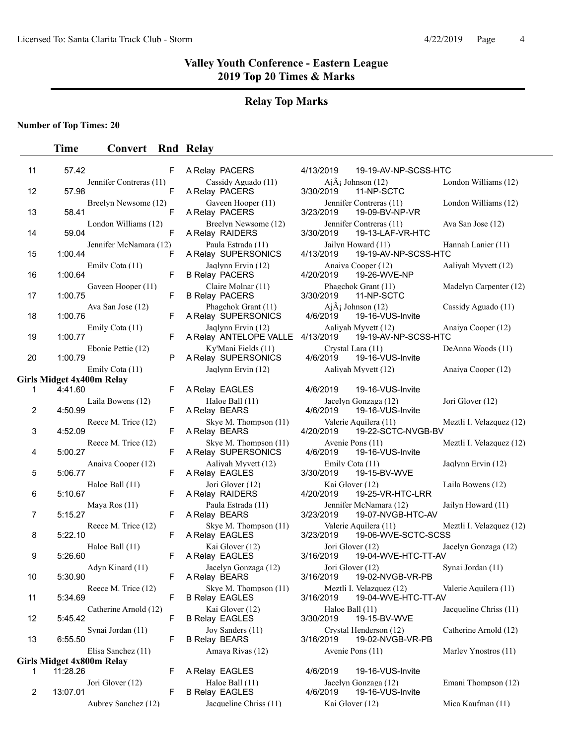# **Relay Top Marks**

## **Number of Top Times: 20**

| 11 | 57.42                                       | F  | A Relay PACERS                                  | 4/13/2019                     | 19-19-AV-NP-SCSS-HTC                             |                          |
|----|---------------------------------------------|----|-------------------------------------------------|-------------------------------|--------------------------------------------------|--------------------------|
| 12 | Jennifer Contreras (11)<br>57.98            | F  | Cassidy Aguado (11)<br>A Relay PACERS           | 3/30/2019                     | $Ai\tilde{A}$ ; Johnson (12)<br>11-NP-SCTC       | London Williams (12)     |
| 13 | Breelyn Newsome (12)<br>58.41               | F  | Gaveen Hooper (11)<br>A Relay PACERS            | 3/23/2019                     | Jennifer Contreras (11)<br>19-09-BV-NP-VR        | London Williams (12)     |
| 14 | London Williams (12)<br>59.04               | F  | Breelyn Newsome (12)<br>A Relay RAIDERS         | 3/30/2019                     | Jennifer Contreras (11)<br>19-13-LAF-VR-HTC      | Ava San Jose (12)        |
| 15 | Jennifer McNamara (12)<br>1:00.44           | F  | Paula Estrada (11)<br>A Relay SUPERSONICS       | 4/13/2019                     | Jailyn Howard (11)<br>19-19-AV-NP-SCSS-HTC       | Hannah Lanier (11)       |
| 16 | Emily Cota (11)<br>1:00.64                  | F  | Jaqlynn Ervin (12)<br><b>B Relay PACERS</b>     | 4/20/2019                     | Anaiya Cooper (12)<br>19-26-WVE-NP               | Aaliyah Myvett (12)      |
| 17 | Gaveen Hooper (11)<br>1:00.75               | F  | Claire Molnar (11)<br><b>B Relay PACERS</b>     | 3/30/2019                     | Phagchok Grant (11)<br>11-NP-SCTC                | Madelyn Carpenter (12)   |
| 18 | Ava San Jose (12)<br>1:00.76                | F  | Phagchok Grant (11)<br>A Relay SUPERSONICS      | 4/6/2019                      | $Ai\tilde{A}$ ; Johnson (12)<br>19-16-VUS-Invite | Cassidy Aguado (11)      |
| 19 | Emily Cota (11)<br>1:00.77                  | F  | Jaqlynn Ervin (12)<br>A Relay ANTELOPE VALLE    | 4/13/2019                     | Aaliyah Myvett (12)<br>19-19-AV-NP-SCSS-HTC      | Anaiya Cooper (12)       |
| 20 | Ebonie Pettie (12)<br>1:00.79               | P  | Ky'Mani Fields (11)<br>A Relay SUPERSONICS      | Crystal Lara (11)<br>4/6/2019 | 19-16-VUS-Invite                                 | DeAnna Woods (11)        |
|    | Emily Cota (11)                             |    | Jaqlynn Ervin (12)                              |                               | Aaliyah Myvett (12)                              | Anaiya Cooper (12)       |
| 1  | <b>Girls Midget 4x400m Relay</b><br>4:41.60 | F  | A Relay EAGLES                                  | 4/6/2019                      | 19-16-VUS-Invite                                 |                          |
|    | Laila Bowens (12)                           |    | Haloe Ball (11)                                 |                               | Jacelyn Gonzaga (12)                             | Jori Glover (12)         |
| 2  | 4:50.99                                     | F  | A Relay BEARS                                   | 4/6/2019                      | 19-16-VUS-Invite                                 |                          |
| 3  | Reece M. Trice (12)<br>4:52.09              | F  | Skye M. Thompson (11)<br>A Relay BEARS          | 4/20/2019                     | Valerie Aquilera (11)<br>19-22-SCTC-NVGB-BV      | Meztli I. Velazquez (12) |
| 4  | Reece M. Trice (12)<br>5:00.27              | F  | Skye M. Thompson (11)<br>A Relay SUPERSONICS    | Avenie Pons (11)<br>4/6/2019  | 19-16-VUS-Invite                                 | Meztli I. Velazquez (12) |
| 5  | Anaiya Cooper (12)<br>5:06.77               | F  | Aaliyah Myvett (12)<br>A Relay EAGLES           | Emily Cota (11)<br>3/30/2019  | 19-15-BV-WVE                                     | Jaqlynn Ervin (12)       |
| 6  | Haloe Ball (11)<br>5:10.67                  | F  | Jori Glover (12)<br>A Relay RAIDERS             | Kai Glover (12)<br>4/20/2019  | 19-25-VR-HTC-LRR                                 | Laila Bowens (12)        |
| 7  | Maya Ros $(11)$<br>5:15.27                  | F  | Paula Estrada (11)<br>A Relay BEARS             | 3/23/2019                     | Jennifer McNamara (12)<br>19-07-NVGB-HTC-AV      | Jailyn Howard (11)       |
| 8  | Reece M. Trice (12)<br>5:22.10              | F  | Skye M. Thompson (11)<br>A Relay EAGLES         | 3/23/2019                     | Valerie Aquilera (11)<br>19-06-WVE-SCTC-SCSS     | Meztli I. Velazquez (12) |
| 9  | Haloe Ball (11)<br>5:26.60                  | F  | Kai Glover (12)<br>A Relay EAGLES               | Jori Glover (12)<br>3/16/2019 | 19-04-WVE-HTC-TT-AV                              | Jacelyn Gonzaga (12)     |
| 10 | Adyn Kinard (11)<br>5:30.90                 | F  | Jacelyn Gonzaga (12)<br>A Relay BEARS           | Jori Glover (12)<br>3/16/2019 | 19-02-NVGB-VR-PB                                 | Synai Jordan (11)        |
| 11 | Reece M. Trice (12)<br>5:34.69              | F. | Skye M. Thompson (11)<br><b>B Relay EAGLES</b>  | 3/16/2019                     | Meztli I. Velazquez (12)<br>19-04-WVE-HTC-TT-AV  | Valerie Aquilera (11)    |
| 12 | Catherine Arnold (12)<br>5:45.42            | F  | Kai Glover (12)<br><b>B Relay EAGLES</b>        | Haloe Ball (11)<br>3/30/2019  | 19-15-BV-WVE                                     | Jacqueline Chriss (11)   |
| 13 | Synai Jordan (11)<br>6:55.50                | F  | Joy Sanders (11)<br><b>B Relay BEARS</b>        | 3/16/2019                     | Crystal Henderson (12)<br>19-02-NVGB-VR-PB       | Catherine Arnold (12)    |
|    | Elisa Sanchez (11)                          |    | Amaya Rivas (12)                                | Avenie Pons (11)              |                                                  | Marley Ynostros (11)     |
|    | Girls Midget 4x800m Relay                   |    |                                                 |                               |                                                  |                          |
| 1  | 11:28.26<br>Jori Glover (12)                | F  | A Relay EAGLES<br>Haloe Ball (11)               | 4/6/2019                      | 19-16-VUS-Invite<br>Jacelyn Gonzaga (12)         | Emani Thompson (12)      |
| 2  | 13:07.01<br>Aubrey Sanchez (12)             | F  | <b>B Relay EAGLES</b><br>Jacqueline Chriss (11) | 4/6/2019<br>Kai Glover (12)   | 19-16-VUS-Invite                                 | Mica Kaufman (11)        |
|    |                                             |    |                                                 |                               |                                                  |                          |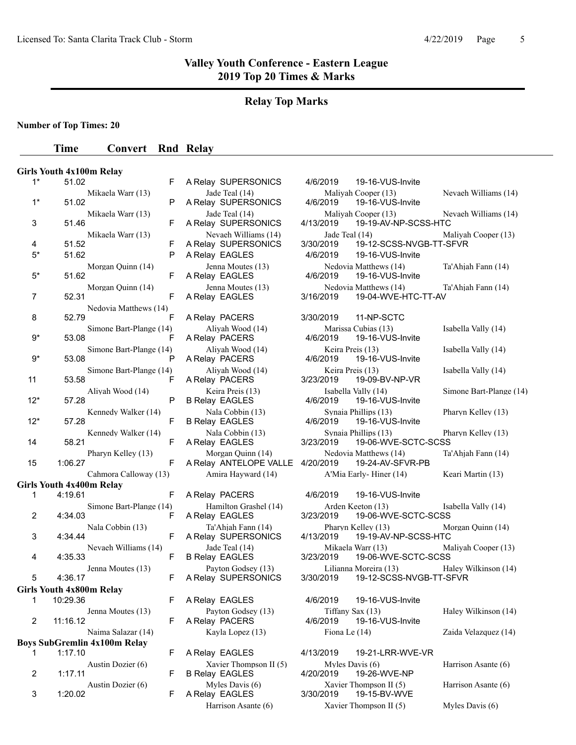# **Relay Top Marks**

**Number of Top Times: 20**

|                | <b>Girls Youth 4x100m Relay</b>                          |    |                                                 |                                                               |                         |
|----------------|----------------------------------------------------------|----|-------------------------------------------------|---------------------------------------------------------------|-------------------------|
| $1^*$          | 51.02                                                    | F. | A Relay SUPERSONICS                             | 4/6/2019<br>19-16-VUS-Invite                                  |                         |
| $1^*$          | Mikaela Warr (13)<br>51.02                               | P  | Jade Teal (14)<br>A Relay SUPERSONICS           | Maliyah Cooper (13)<br>4/6/2019<br>19-16-VUS-Invite           | Nevaeh Williams (14)    |
| 3              | Mikaela Warr (13)<br>51.46                               | F  | Jade Teal (14)<br>A Relay SUPERSONICS           | Maliyah Cooper (13)<br>19-19-AV-NP-SCSS-HTC<br>4/13/2019      | Nevaeh Williams (14)    |
| 4              | Mikaela Warr (13)<br>51.52                               | F  | Nevaeh Williams (14)<br>A Relay SUPERSONICS     | Jade Teal (14)<br>3/30/2019<br>19-12-SCSS-NVGB-TT-SFVR        | Maliyah Cooper (13)     |
| $5*$           | 51.62                                                    | P  | A Relay EAGLES                                  | 4/6/2019<br>19-16-VUS-Invite                                  |                         |
| $5*$           | Morgan Quinn (14)<br>51.62                               | F  | Jenna Moutes (13)<br>A Relay EAGLES             | Nedovia Matthews (14)<br>4/6/2019<br>19-16-VUS-Invite         | Ta'Ahiah Fann (14)      |
| $\overline{7}$ | Morgan Quinn (14)<br>52.31                               | F  | Jenna Moutes (13)<br>A Relay EAGLES             | Nedovia Matthews (14)<br>3/16/2019<br>19-04-WVE-HTC-TT-AV     | Ta'Ahjah Fann (14)      |
| 8              | Nedovia Matthews (14)<br>52.79                           | F  | A Relay PACERS                                  | 11-NP-SCTC<br>3/30/2019                                       |                         |
| $9*$           | Simone Bart-Plange (14)<br>53.08                         | F  | Aliyah Wood (14)<br>A Relay PACERS              | Marissa Cubias (13)<br>4/6/2019<br>19-16-VUS-Invite           | Isabella Vally (14)     |
| $9*$           | Simone Bart-Plange (14)<br>53.08                         | P  | Aliyah Wood (14)<br>A Relay PACERS              | Keira Preis (13)<br>4/6/2019<br>19-16-VUS-Invite              | Isabella Vally (14)     |
| 11             | Simone Bart-Plange (14)<br>53.58                         | F  | Aliyah Wood (14)<br>A Relay PACERS              | Keira Preis (13)<br>3/23/2019<br>19-09-BV-NP-VR               | Isabella Vally (14)     |
| $12*$          | Aliyah Wood (14)<br>57.28                                | P  | Keira Preis (13)<br><b>B Relay EAGLES</b>       | Isabella Vally (14)<br>4/6/2019<br>19-16-VUS-Invite           | Simone Bart-Plange (14) |
| $12*$          | Kennedy Walker (14)<br>57.28                             | F  | Nala Cobbin (13)<br><b>B Relay EAGLES</b>       | Synaia Phillips (13)<br>4/6/2019<br>19-16-VUS-Invite          | Pharyn Kelley (13)      |
| 14             | Kennedy Walker (14)<br>58.21                             | F  | Nala Cobbin (13)<br>A Relay EAGLES              | Synaia Phillips (13)<br>3/23/2019<br>19-06-WVE-SCTC-SCSS      | Pharyn Kelley (13)      |
| 15             | Pharyn Kelley (13)<br>1:06.27                            | F  | Morgan Quinn (14)<br>A Relay ANTELOPE VALLE     | Nedovia Matthews (14)<br>4/20/2019<br>19-24-AV-SFVR-PB        | Ta'Ahjah Fann (14)      |
|                | Cahmora Calloway (13)<br><b>Girls Youth 4x400m Relay</b> |    | Amira Hayward (14)                              | A'Mia Early-Hiner (14)                                        | Keari Martin (13)       |
| 1              | 4:19.61                                                  | F  | A Relay PACERS                                  | 4/6/2019<br>19-16-VUS-Invite                                  |                         |
| $\overline{2}$ | Simone Bart-Plange (14)<br>4:34.03                       | F  | Hamilton Grashel (14)<br>A Relay EAGLES         | Arden Keeton (13)<br>19-06-WVE-SCTC-SCSS<br>3/23/2019         | Isabella Vally (14)     |
| 3              | Nala Cobbin (13)<br>4:34.44                              | F. | Ta'Ahjah Fann (14)<br>A Relay SUPERSONICS       | Pharyn Kelley (13)<br>4/13/2019<br>19-19-AV-NP-SCSS-HTC       | Morgan Quinn (14)       |
| 4              | Nevaeh Williams (14)<br>4:35.33                          | F  | Jade Teal (14)<br><b>B Relay EAGLES</b>         | Mikaela Warr (13)<br>3/23/2019<br>19-06-WVE-SCTC-SCSS         | Maliyah Cooper (13)     |
| 5              | Jenna Moutes (13)<br>4:36.17                             | F. | Payton Godsey (13)<br>A Relay SUPERSONICS       | Lilianna Moreira (13)<br>3/30/2019<br>19-12-SCSS-NVGB-TT-SFVR | Haley Wilkinson (14)    |
|                |                                                          |    |                                                 |                                                               |                         |
| 1.             | <b>Girls Youth 4x800m Relay</b><br>10:29.36              | F. | A Relay EAGLES                                  | 4/6/2019<br>19-16-VUS-Invite                                  |                         |
| $\overline{2}$ | Jenna Moutes (13)<br>11:16.12                            | F  | Payton Godsey (13)<br>A Relay PACERS            | Tiffany Sax (13)<br>4/6/2019<br>19-16-VUS-Invite              | Haley Wilkinson (14)    |
|                | Naima Salazar (14)                                       |    | Kayla Lopez (13)                                | Fiona Le $(14)$                                               | Zaida Velazquez (14)    |
|                | <b>Boys SubGremlin 4x100m Relay</b>                      |    |                                                 |                                                               |                         |
| 1              | 1:17.10                                                  | F. | A Relay EAGLES                                  | 4/13/2019<br>19-21-LRR-WVE-VR                                 |                         |
| $\overline{2}$ | Austin Dozier (6)<br>1:17.11                             | F  | Xavier Thompson II (5)<br><b>B Relay EAGLES</b> | Myles Davis (6)<br>4/20/2019<br>19-26-WVE-NP                  | Harrison Asante (6)     |
| 3              | Austin Dozier (6)<br>1:20.02                             | F. | Myles Davis (6)<br>A Relay EAGLES               | Xavier Thompson II (5)<br>3/30/2019<br>19-15-BV-WVE           | Harrison Asante (6)     |
|                |                                                          |    | Harrison Asante (6)                             | Xavier Thompson II (5)                                        | Myles Davis (6)         |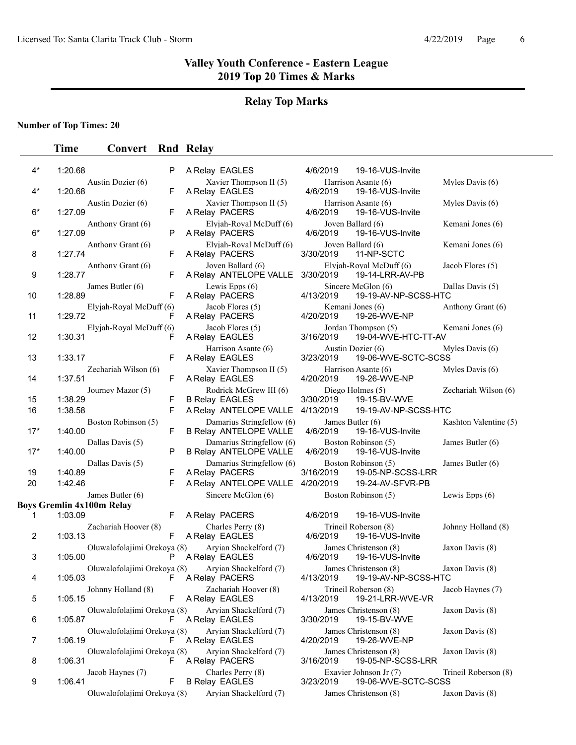## **Relay Top Marks**

## **Number of Top Times: 20**

## **Time Convert** Rnd Relay

| Xavier Thompson II (5)<br>Harrison Asante (6)<br>Austin Dozier (6)<br>$4^*$<br>1:20.68<br>F<br>A Relay EAGLES<br>4/6/2019<br>19-16-VUS-Invite<br>Austin Dozier (6)<br>Xavier Thompson II (5)<br>Harrison Asante (6)<br>1:27.09<br>$6*$<br>F<br>4/6/2019<br>A Relay PACERS<br>19-16-VUS-Invite<br>Elyiah-Royal McDuff (6)<br>Joven Ballard (6)<br>Anthony Grant (6)<br>$6*$<br>1:27.09<br>P<br>19-16-VUS-Invite<br>A Relay PACERS<br>4/6/2019<br>Elyjah-Royal McDuff (6)<br>Joven Ballard (6)<br>Anthony Grant (6)<br>F<br>1:27.74<br>11-NP-SCTC<br>8<br>A Relay PACERS<br>3/30/2019<br>Joven Ballard (6)<br>Elyjah-Royal McDuff (6)<br>Anthony Grant (6)<br>9<br>1:28.77<br>F<br>A Relay ANTELOPE VALLE<br>3/30/2019<br>19-14-LRR-AV-PB<br>Lewis Epps $(6)$<br>James Butler (6)<br>Sincere McGlon (6)<br>1:28.89<br>F<br>A Relay PACERS<br>4/13/2019<br>19-19-AV-NP-SCSS-HTC<br>10<br>Jacob Flores (5)<br>Kemani Jones (6)<br>Elyjah-Royal McDuff (6)<br>1:29.72<br>4/20/2019<br>F<br>A Relay PACERS<br>19-26-WVE-NP<br>11<br>Elyjah-Royal McDuff (6)<br>Jacob Flores (5)<br>Jordan Thompson (5)<br>1:30.31<br>12<br>F<br>3/16/2019<br>19-04-WVE-HTC-TT-AV<br>A Relay EAGLES<br>Harrison Asante (6)<br>Austin Dozier (6)<br>13<br>1:33.17<br>F<br>A Relay EAGLES<br>3/23/2019<br>19-06-WVE-SCTC-SCSS<br>Xavier Thompson II (5)<br>Zechariah Wilson (6)<br>Harrison Asante (6)<br>F<br>1:37.51<br>4/20/2019<br>19-26-WVE-NP<br>14<br>A Relay EAGLES<br>Rodrick McGrew III (6)<br>Diego Holmes (5)<br>Journey Mazor (5)<br>1:38.29<br>F<br><b>B Relay EAGLES</b><br>15<br>3/30/2019<br>19-15-BV-WVE<br>F<br>4/13/2019<br>16<br>1:38.58<br>A Relay ANTELOPE VALLE<br>19-19-AV-NP-SCSS-HTC<br>Damarius Stringfellow (6)<br>Boston Robinson (5)<br>James Butler (6)<br>$17*$<br>1:40.00<br>F<br><b>B Relay ANTELOPE VALLE</b><br>4/6/2019<br>19-16-VUS-Invite<br>Damarius Stringfellow (6)<br>Dallas Davis (5)<br>Boston Robinson (5)<br>$17*$<br>1:40.00<br>P<br><b>B Relay ANTELOPE VALLE</b><br>4/6/2019<br>19-16-VUS-Invite<br>Damarius Stringfellow (6)<br>Boston Robinson (5)<br>Dallas Davis (5)<br>1:40.89<br>A Relay PACERS<br>3/16/2019<br>19-05-NP-SCSS-LRR<br>19<br>F<br>20<br>4/20/2019<br>1:42.46<br>F<br>A Relay ANTELOPE VALLE<br>19-24-AV-SFVR-PB<br>Sincere McGlon (6)<br>James Butler (6)<br>Boston Robinson (5)<br><b>Boys Gremlin 4x100m Relay</b><br>1:03.09<br>A Relay PACERS<br>19-16-VUS-Invite<br>1<br>F.<br>4/6/2019<br>Charles Perry (8)<br>Zachariah Hoover (8)<br>Trineil Roberson (8)<br>F<br>4/6/2019<br>2<br>1:03.13<br>A Relay EAGLES<br>19-16-VUS-Invite<br>Oluwalofolajimi Orekoya (8)<br>Aryian Shackelford (7)<br>James Christenson (8)<br>3<br>1:05.00<br>P<br>4/6/2019<br>A Relay EAGLES<br>19-16-VUS-Invite<br>Oluwalofolajimi Orekoya (8)<br>Aryian Shackelford (7)<br>James Christenson (8)<br>1:05.03<br>A Relay PACERS<br>4/13/2019<br>19-19-AV-NP-SCSS-HTC<br>4<br>F.<br>Zachariah Hoover (8)<br>Trineil Roberson (8)<br>Johnny Holland (8)<br>5<br>1:05.15<br>A Relay EAGLES<br>4/13/2019<br>19-21-LRR-WVE-VR<br>F.<br>Oluwalofolajimi Orekoya (8)<br>Aryian Shackelford (7)<br>James Christenson (8)<br>1:05.87<br>6<br>A Relay EAGLES<br>3/30/2019<br>19-15-BV-WVE<br>Arvian Shackelford (7)<br>Oluwalofolajimi Orekoya (8)<br>James Christenson (8)<br>1:06.19<br>F<br>A Relay EAGLES<br>4/20/2019<br>19-26-WVE-NP<br>7<br>Oluwalofolajimi Orekoya (8)<br>Arvian Shackelford (7)<br>James Christenson (8)<br>1:06.31<br>8<br>F.<br>A Relay PACERS<br>3/16/2019<br>19-05-NP-SCSS-LRR<br>Charles Perry (8)<br>Jacob Haynes (7)<br>Exavier Johnson Jr (7)<br>9<br>1:06.41<br><b>B Relay EAGLES</b><br>3/23/2019<br>19-06-WVE-SCTC-SCSS<br>F | $4^*$ | 1:20.68 | P | A Relay EAGLES | 4/6/2019 | 19-16-VUS-Invite |                       |
|---------------------------------------------------------------------------------------------------------------------------------------------------------------------------------------------------------------------------------------------------------------------------------------------------------------------------------------------------------------------------------------------------------------------------------------------------------------------------------------------------------------------------------------------------------------------------------------------------------------------------------------------------------------------------------------------------------------------------------------------------------------------------------------------------------------------------------------------------------------------------------------------------------------------------------------------------------------------------------------------------------------------------------------------------------------------------------------------------------------------------------------------------------------------------------------------------------------------------------------------------------------------------------------------------------------------------------------------------------------------------------------------------------------------------------------------------------------------------------------------------------------------------------------------------------------------------------------------------------------------------------------------------------------------------------------------------------------------------------------------------------------------------------------------------------------------------------------------------------------------------------------------------------------------------------------------------------------------------------------------------------------------------------------------------------------------------------------------------------------------------------------------------------------------------------------------------------------------------------------------------------------------------------------------------------------------------------------------------------------------------------------------------------------------------------------------------------------------------------------------------------------------------------------------------------------------------------------------------------------------------------------------------------------------------------------------------------------------------------------------------------------------------------------------------------------------------------------------------------------------------------------------------------------------------------------------------------------------------------------------------------------------------------------------------------------------------------------------------------------------------------------------------------------------------------------------------------------------------------------------------------------------------------------------------------------------------------------------------------------------------------------------------------------------------------------------------------------------------------------------------------------------------------------------------------------------------------------------------------------------------------------------------------------------------------------|-------|---------|---|----------------|----------|------------------|-----------------------|
|                                                                                                                                                                                                                                                                                                                                                                                                                                                                                                                                                                                                                                                                                                                                                                                                                                                                                                                                                                                                                                                                                                                                                                                                                                                                                                                                                                                                                                                                                                                                                                                                                                                                                                                                                                                                                                                                                                                                                                                                                                                                                                                                                                                                                                                                                                                                                                                                                                                                                                                                                                                                                                                                                                                                                                                                                                                                                                                                                                                                                                                                                                                                                                                                                                                                                                                                                                                                                                                                                                                                                                                                                                                                                       |       |         |   |                |          |                  | Myles Davis (6)       |
|                                                                                                                                                                                                                                                                                                                                                                                                                                                                                                                                                                                                                                                                                                                                                                                                                                                                                                                                                                                                                                                                                                                                                                                                                                                                                                                                                                                                                                                                                                                                                                                                                                                                                                                                                                                                                                                                                                                                                                                                                                                                                                                                                                                                                                                                                                                                                                                                                                                                                                                                                                                                                                                                                                                                                                                                                                                                                                                                                                                                                                                                                                                                                                                                                                                                                                                                                                                                                                                                                                                                                                                                                                                                                       |       |         |   |                |          |                  | Myles Davis (6)       |
|                                                                                                                                                                                                                                                                                                                                                                                                                                                                                                                                                                                                                                                                                                                                                                                                                                                                                                                                                                                                                                                                                                                                                                                                                                                                                                                                                                                                                                                                                                                                                                                                                                                                                                                                                                                                                                                                                                                                                                                                                                                                                                                                                                                                                                                                                                                                                                                                                                                                                                                                                                                                                                                                                                                                                                                                                                                                                                                                                                                                                                                                                                                                                                                                                                                                                                                                                                                                                                                                                                                                                                                                                                                                                       |       |         |   |                |          |                  | Kemani Jones (6)      |
|                                                                                                                                                                                                                                                                                                                                                                                                                                                                                                                                                                                                                                                                                                                                                                                                                                                                                                                                                                                                                                                                                                                                                                                                                                                                                                                                                                                                                                                                                                                                                                                                                                                                                                                                                                                                                                                                                                                                                                                                                                                                                                                                                                                                                                                                                                                                                                                                                                                                                                                                                                                                                                                                                                                                                                                                                                                                                                                                                                                                                                                                                                                                                                                                                                                                                                                                                                                                                                                                                                                                                                                                                                                                                       |       |         |   |                |          |                  | Kemani Jones (6)      |
|                                                                                                                                                                                                                                                                                                                                                                                                                                                                                                                                                                                                                                                                                                                                                                                                                                                                                                                                                                                                                                                                                                                                                                                                                                                                                                                                                                                                                                                                                                                                                                                                                                                                                                                                                                                                                                                                                                                                                                                                                                                                                                                                                                                                                                                                                                                                                                                                                                                                                                                                                                                                                                                                                                                                                                                                                                                                                                                                                                                                                                                                                                                                                                                                                                                                                                                                                                                                                                                                                                                                                                                                                                                                                       |       |         |   |                |          |                  | Jacob Flores (5)      |
|                                                                                                                                                                                                                                                                                                                                                                                                                                                                                                                                                                                                                                                                                                                                                                                                                                                                                                                                                                                                                                                                                                                                                                                                                                                                                                                                                                                                                                                                                                                                                                                                                                                                                                                                                                                                                                                                                                                                                                                                                                                                                                                                                                                                                                                                                                                                                                                                                                                                                                                                                                                                                                                                                                                                                                                                                                                                                                                                                                                                                                                                                                                                                                                                                                                                                                                                                                                                                                                                                                                                                                                                                                                                                       |       |         |   |                |          |                  | Dallas Davis (5)      |
|                                                                                                                                                                                                                                                                                                                                                                                                                                                                                                                                                                                                                                                                                                                                                                                                                                                                                                                                                                                                                                                                                                                                                                                                                                                                                                                                                                                                                                                                                                                                                                                                                                                                                                                                                                                                                                                                                                                                                                                                                                                                                                                                                                                                                                                                                                                                                                                                                                                                                                                                                                                                                                                                                                                                                                                                                                                                                                                                                                                                                                                                                                                                                                                                                                                                                                                                                                                                                                                                                                                                                                                                                                                                                       |       |         |   |                |          |                  | Anthony Grant (6)     |
|                                                                                                                                                                                                                                                                                                                                                                                                                                                                                                                                                                                                                                                                                                                                                                                                                                                                                                                                                                                                                                                                                                                                                                                                                                                                                                                                                                                                                                                                                                                                                                                                                                                                                                                                                                                                                                                                                                                                                                                                                                                                                                                                                                                                                                                                                                                                                                                                                                                                                                                                                                                                                                                                                                                                                                                                                                                                                                                                                                                                                                                                                                                                                                                                                                                                                                                                                                                                                                                                                                                                                                                                                                                                                       |       |         |   |                |          |                  | Kemani Jones (6)      |
|                                                                                                                                                                                                                                                                                                                                                                                                                                                                                                                                                                                                                                                                                                                                                                                                                                                                                                                                                                                                                                                                                                                                                                                                                                                                                                                                                                                                                                                                                                                                                                                                                                                                                                                                                                                                                                                                                                                                                                                                                                                                                                                                                                                                                                                                                                                                                                                                                                                                                                                                                                                                                                                                                                                                                                                                                                                                                                                                                                                                                                                                                                                                                                                                                                                                                                                                                                                                                                                                                                                                                                                                                                                                                       |       |         |   |                |          |                  | Myles Davis (6)       |
|                                                                                                                                                                                                                                                                                                                                                                                                                                                                                                                                                                                                                                                                                                                                                                                                                                                                                                                                                                                                                                                                                                                                                                                                                                                                                                                                                                                                                                                                                                                                                                                                                                                                                                                                                                                                                                                                                                                                                                                                                                                                                                                                                                                                                                                                                                                                                                                                                                                                                                                                                                                                                                                                                                                                                                                                                                                                                                                                                                                                                                                                                                                                                                                                                                                                                                                                                                                                                                                                                                                                                                                                                                                                                       |       |         |   |                |          |                  | Myles Davis $(6)$     |
|                                                                                                                                                                                                                                                                                                                                                                                                                                                                                                                                                                                                                                                                                                                                                                                                                                                                                                                                                                                                                                                                                                                                                                                                                                                                                                                                                                                                                                                                                                                                                                                                                                                                                                                                                                                                                                                                                                                                                                                                                                                                                                                                                                                                                                                                                                                                                                                                                                                                                                                                                                                                                                                                                                                                                                                                                                                                                                                                                                                                                                                                                                                                                                                                                                                                                                                                                                                                                                                                                                                                                                                                                                                                                       |       |         |   |                |          |                  | Zechariah Wilson (6)  |
|                                                                                                                                                                                                                                                                                                                                                                                                                                                                                                                                                                                                                                                                                                                                                                                                                                                                                                                                                                                                                                                                                                                                                                                                                                                                                                                                                                                                                                                                                                                                                                                                                                                                                                                                                                                                                                                                                                                                                                                                                                                                                                                                                                                                                                                                                                                                                                                                                                                                                                                                                                                                                                                                                                                                                                                                                                                                                                                                                                                                                                                                                                                                                                                                                                                                                                                                                                                                                                                                                                                                                                                                                                                                                       |       |         |   |                |          |                  |                       |
|                                                                                                                                                                                                                                                                                                                                                                                                                                                                                                                                                                                                                                                                                                                                                                                                                                                                                                                                                                                                                                                                                                                                                                                                                                                                                                                                                                                                                                                                                                                                                                                                                                                                                                                                                                                                                                                                                                                                                                                                                                                                                                                                                                                                                                                                                                                                                                                                                                                                                                                                                                                                                                                                                                                                                                                                                                                                                                                                                                                                                                                                                                                                                                                                                                                                                                                                                                                                                                                                                                                                                                                                                                                                                       |       |         |   |                |          |                  | Kashton Valentine (5) |
|                                                                                                                                                                                                                                                                                                                                                                                                                                                                                                                                                                                                                                                                                                                                                                                                                                                                                                                                                                                                                                                                                                                                                                                                                                                                                                                                                                                                                                                                                                                                                                                                                                                                                                                                                                                                                                                                                                                                                                                                                                                                                                                                                                                                                                                                                                                                                                                                                                                                                                                                                                                                                                                                                                                                                                                                                                                                                                                                                                                                                                                                                                                                                                                                                                                                                                                                                                                                                                                                                                                                                                                                                                                                                       |       |         |   |                |          |                  | James Butler (6)      |
|                                                                                                                                                                                                                                                                                                                                                                                                                                                                                                                                                                                                                                                                                                                                                                                                                                                                                                                                                                                                                                                                                                                                                                                                                                                                                                                                                                                                                                                                                                                                                                                                                                                                                                                                                                                                                                                                                                                                                                                                                                                                                                                                                                                                                                                                                                                                                                                                                                                                                                                                                                                                                                                                                                                                                                                                                                                                                                                                                                                                                                                                                                                                                                                                                                                                                                                                                                                                                                                                                                                                                                                                                                                                                       |       |         |   |                |          |                  | James Butler (6)      |
|                                                                                                                                                                                                                                                                                                                                                                                                                                                                                                                                                                                                                                                                                                                                                                                                                                                                                                                                                                                                                                                                                                                                                                                                                                                                                                                                                                                                                                                                                                                                                                                                                                                                                                                                                                                                                                                                                                                                                                                                                                                                                                                                                                                                                                                                                                                                                                                                                                                                                                                                                                                                                                                                                                                                                                                                                                                                                                                                                                                                                                                                                                                                                                                                                                                                                                                                                                                                                                                                                                                                                                                                                                                                                       |       |         |   |                |          |                  |                       |
|                                                                                                                                                                                                                                                                                                                                                                                                                                                                                                                                                                                                                                                                                                                                                                                                                                                                                                                                                                                                                                                                                                                                                                                                                                                                                                                                                                                                                                                                                                                                                                                                                                                                                                                                                                                                                                                                                                                                                                                                                                                                                                                                                                                                                                                                                                                                                                                                                                                                                                                                                                                                                                                                                                                                                                                                                                                                                                                                                                                                                                                                                                                                                                                                                                                                                                                                                                                                                                                                                                                                                                                                                                                                                       |       |         |   |                |          |                  | Lewis Epps $(6)$      |
|                                                                                                                                                                                                                                                                                                                                                                                                                                                                                                                                                                                                                                                                                                                                                                                                                                                                                                                                                                                                                                                                                                                                                                                                                                                                                                                                                                                                                                                                                                                                                                                                                                                                                                                                                                                                                                                                                                                                                                                                                                                                                                                                                                                                                                                                                                                                                                                                                                                                                                                                                                                                                                                                                                                                                                                                                                                                                                                                                                                                                                                                                                                                                                                                                                                                                                                                                                                                                                                                                                                                                                                                                                                                                       |       |         |   |                |          |                  |                       |
|                                                                                                                                                                                                                                                                                                                                                                                                                                                                                                                                                                                                                                                                                                                                                                                                                                                                                                                                                                                                                                                                                                                                                                                                                                                                                                                                                                                                                                                                                                                                                                                                                                                                                                                                                                                                                                                                                                                                                                                                                                                                                                                                                                                                                                                                                                                                                                                                                                                                                                                                                                                                                                                                                                                                                                                                                                                                                                                                                                                                                                                                                                                                                                                                                                                                                                                                                                                                                                                                                                                                                                                                                                                                                       |       |         |   |                |          |                  | Johnny Holland (8)    |
|                                                                                                                                                                                                                                                                                                                                                                                                                                                                                                                                                                                                                                                                                                                                                                                                                                                                                                                                                                                                                                                                                                                                                                                                                                                                                                                                                                                                                                                                                                                                                                                                                                                                                                                                                                                                                                                                                                                                                                                                                                                                                                                                                                                                                                                                                                                                                                                                                                                                                                                                                                                                                                                                                                                                                                                                                                                                                                                                                                                                                                                                                                                                                                                                                                                                                                                                                                                                                                                                                                                                                                                                                                                                                       |       |         |   |                |          |                  | Jaxon Davis (8)       |
|                                                                                                                                                                                                                                                                                                                                                                                                                                                                                                                                                                                                                                                                                                                                                                                                                                                                                                                                                                                                                                                                                                                                                                                                                                                                                                                                                                                                                                                                                                                                                                                                                                                                                                                                                                                                                                                                                                                                                                                                                                                                                                                                                                                                                                                                                                                                                                                                                                                                                                                                                                                                                                                                                                                                                                                                                                                                                                                                                                                                                                                                                                                                                                                                                                                                                                                                                                                                                                                                                                                                                                                                                                                                                       |       |         |   |                |          |                  | Jaxon Davis (8)       |
|                                                                                                                                                                                                                                                                                                                                                                                                                                                                                                                                                                                                                                                                                                                                                                                                                                                                                                                                                                                                                                                                                                                                                                                                                                                                                                                                                                                                                                                                                                                                                                                                                                                                                                                                                                                                                                                                                                                                                                                                                                                                                                                                                                                                                                                                                                                                                                                                                                                                                                                                                                                                                                                                                                                                                                                                                                                                                                                                                                                                                                                                                                                                                                                                                                                                                                                                                                                                                                                                                                                                                                                                                                                                                       |       |         |   |                |          |                  | Jacob Haynes (7)      |
|                                                                                                                                                                                                                                                                                                                                                                                                                                                                                                                                                                                                                                                                                                                                                                                                                                                                                                                                                                                                                                                                                                                                                                                                                                                                                                                                                                                                                                                                                                                                                                                                                                                                                                                                                                                                                                                                                                                                                                                                                                                                                                                                                                                                                                                                                                                                                                                                                                                                                                                                                                                                                                                                                                                                                                                                                                                                                                                                                                                                                                                                                                                                                                                                                                                                                                                                                                                                                                                                                                                                                                                                                                                                                       |       |         |   |                |          |                  | Jaxon Davis (8)       |
|                                                                                                                                                                                                                                                                                                                                                                                                                                                                                                                                                                                                                                                                                                                                                                                                                                                                                                                                                                                                                                                                                                                                                                                                                                                                                                                                                                                                                                                                                                                                                                                                                                                                                                                                                                                                                                                                                                                                                                                                                                                                                                                                                                                                                                                                                                                                                                                                                                                                                                                                                                                                                                                                                                                                                                                                                                                                                                                                                                                                                                                                                                                                                                                                                                                                                                                                                                                                                                                                                                                                                                                                                                                                                       |       |         |   |                |          |                  | Jaxon Davis (8)       |
|                                                                                                                                                                                                                                                                                                                                                                                                                                                                                                                                                                                                                                                                                                                                                                                                                                                                                                                                                                                                                                                                                                                                                                                                                                                                                                                                                                                                                                                                                                                                                                                                                                                                                                                                                                                                                                                                                                                                                                                                                                                                                                                                                                                                                                                                                                                                                                                                                                                                                                                                                                                                                                                                                                                                                                                                                                                                                                                                                                                                                                                                                                                                                                                                                                                                                                                                                                                                                                                                                                                                                                                                                                                                                       |       |         |   |                |          |                  | Jaxon Davis (8)       |
|                                                                                                                                                                                                                                                                                                                                                                                                                                                                                                                                                                                                                                                                                                                                                                                                                                                                                                                                                                                                                                                                                                                                                                                                                                                                                                                                                                                                                                                                                                                                                                                                                                                                                                                                                                                                                                                                                                                                                                                                                                                                                                                                                                                                                                                                                                                                                                                                                                                                                                                                                                                                                                                                                                                                                                                                                                                                                                                                                                                                                                                                                                                                                                                                                                                                                                                                                                                                                                                                                                                                                                                                                                                                                       |       |         |   |                |          |                  | Trineil Roberson (8)  |

Oluwalofolajimi Orekoya (8) Aryian Shackelford (7) James Christenson (8) Jaxon Davis (8)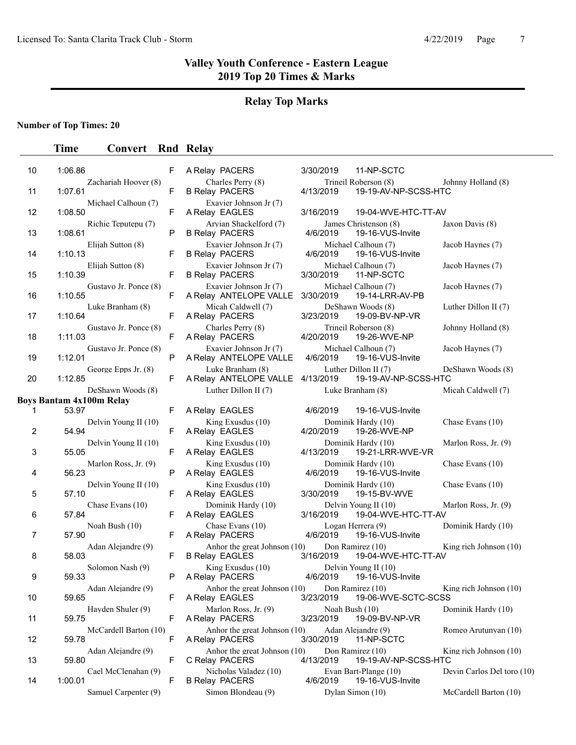# **Relay Top Marks**

## **Number of Top Times: 20**

| 10 | 1:06.86                          | F | A Relay PACERS                                        | 3/30/2019<br>11-NP-SCTC                                   |                            |
|----|----------------------------------|---|-------------------------------------------------------|-----------------------------------------------------------|----------------------------|
| 11 | Zachariah Hoover (8)<br>1:07.61  | F | Charles Perry (8)<br><b>B Relay PACERS</b>            | Trineil Roberson (8)<br>4/13/2019<br>19-19-AV-NP-SCSS-HTC | Johnny Holland (8)         |
| 12 | Michael Calhoun (7)<br>1:08.50   | F | Exavier Johnson Jr (7)<br>A Relay EAGLES              | 3/16/2019<br>19-04-WVE-HTC-TT-AV                          |                            |
| 13 | Richie Teputepu (7)<br>1:08.61   | P | Arvian Shackelford (7)<br><b>B Relay PACERS</b>       | James Christenson (8)<br>4/6/2019<br>19-16-VUS-Invite     | Jaxon Davis (8)            |
| 14 | Elijah Sutton (8)<br>1:10.13     | F | Exavier Johnson Jr (7)<br><b>B Relay PACERS</b>       | Michael Calhoun (7)<br>19-16-VUS-Invite<br>4/6/2019       | Jacob Haynes (7)           |
| 15 | Elijah Sutton (8)<br>1:10.39     | F | Exavier Johnson Jr (7)<br><b>B Relay PACERS</b>       | Michael Calhoun (7)<br>3/30/2019<br>11-NP-SCTC            | Jacob Haynes (7)           |
| 16 | Gustavo Jr. Ponce (8)<br>1:10.55 | F | Exavier Johnson Jr (7)<br>A Relay ANTELOPE VALLE      | Michael Calhoun (7)<br>3/30/2019<br>19-14-LRR-AV-PB       | Jacob Haynes (7)           |
| 17 | Luke Branham (8)<br>1:10.64      | F | Micah Caldwell (7)<br>A Relay PACERS                  | DeShawn Woods (8)<br>3/23/2019<br>19-09-BV-NP-VR          | Luther Dillon II (7)       |
| 18 | Gustavo Jr. Ponce (8)<br>1:11.03 | F | Charles Perry (8)<br>A Relay PACERS                   | Trineil Roberson (8)<br>4/20/2019<br>19-26-WVE-NP         | Johnny Holland (8)         |
| 19 | Gustavo Jr. Ponce (8)<br>1:12.01 | P | Exavier Johnson Jr (7)<br>A Relay ANTELOPE VALLE      | Michael Calhoun (7)<br>4/6/2019<br>19-16-VUS-Invite       | Jacob Haynes (7)           |
| 20 | George Epps Jr. (8)<br>1:12.85   | F | Luke Branham (8)<br>A Relay ANTELOPE VALLE 4/13/2019  | Luther Dillon II (7)<br>19-19-AV-NP-SCSS-HTC              | DeShawn Woods (8)          |
|    | DeShawn Woods (8)                |   | Luther Dillon II (7)                                  | Luke Branham (8)                                          | Micah Caldwell (7)         |
|    | <b>Boys Bantam 4x100m Relay</b>  |   |                                                       |                                                           |                            |
| 1  | 53.97                            | F | A Relay EAGLES<br>King Exusdus $(10)$                 | 4/6/2019<br>19-16-VUS-Invite<br>Dominik Hardy (10)        | Chase Evans (10)           |
| 2  | Delvin Young II (10)<br>54.94    | F | A Relay EAGLES                                        | 4/20/2019<br>19-26-WVE-NP                                 |                            |
| 3  | Delvin Young II (10)<br>55.05    | F | King Exusdus (10)<br>A Relay EAGLES                   | Dominik Hardy (10)<br>4/13/2019<br>19-21-LRR-WVE-VR       | Marlon Ross, Jr. (9)       |
| 4  | Marlon Ross, Jr. (9)<br>56.23    | P | King Exusdus $(10)$<br>A Relay EAGLES                 | Dominik Hardy (10)<br>4/6/2019<br>19-16-VUS-Invite        | Chase Evans (10)           |
| 5  | Delvin Young II (10)<br>57.10    | F | King Exusdus (10)<br>A Relay EAGLES                   | Dominik Hardy (10)<br>3/30/2019<br>19-15-BV-WVE           | Chase Evans (10)           |
| 6  | Chase Evans (10)<br>57.84        | F | Dominik Hardy (10)<br>A Relay EAGLES                  | Delvin Young II (10)<br>3/16/2019<br>19-04-WVE-HTC-TT-AV  | Marlon Ross, Jr. (9)       |
| 7  | Noah Bush (10)<br>57.90          | F | Chase Evans (10)<br>A Relay PACERS                    | Logan Herrera (9)<br>4/6/2019<br>19-16-VUS-Invite         | Dominik Hardy (10)         |
| 8  | Adan Alejandre (9)<br>58.03      | F | Anhor the great Johnson (10)<br><b>B Relay EAGLES</b> | Don Ramirez (10)<br>3/16/2019<br>19-04-WVE-HTC-TT-AV      | King rich Johnson (10)     |
| 9  | Solomon Nash (9)<br>59.33        | P | King Exusdus $(10)$<br>A Relay PACERS                 | Delvin Young II (10)<br>4/6/2019<br>19-16-VUS-Invite      |                            |
| 10 | Adan Alejandre (9)<br>59.65      | F | Anhor the great Johnson (10)<br>A Relay EAGLES        | Don Ramirez (10)<br>3/23/2019<br>19-06-WVE-SCTC-SCSS      | King rich Johnson (10)     |
| 11 | Hayden Shuler (9)<br>59.75       | F | Marlon Ross, Jr. (9)<br>A Relay PACERS                | Noah Bush (10)<br>3/23/2019<br>19-09-BV-NP-VR             | Dominik Hardy (10)         |
| 12 | McCardell Barton (10)<br>59.78   | F | Anhor the great Johnson (10)<br>A Relay PACERS        | Adan Alejandre (9)<br>3/30/2019<br>11-NP-SCTC             | Romeo Arutunyan (10)       |
| 13 | Adan Alejandre (9)<br>59.80      | F | Anhor the great Johnson (10)<br>C Relay PACERS        | Don Ramirez (10)<br>4/13/2019<br>19-19-AV-NP-SCSS-HTC     | King rich Johnson $(10)$   |
| 14 | Cael McClenahan (9)<br>1:00.01   | F | Nicholas Valadez (10)<br><b>B Relay PACERS</b>        | Evan Bart-Plange (10)<br>4/6/2019<br>19-16-VUS-Invite     | Devin Carlos Del toro (10) |
|    | Samuel Carpenter (9)             |   | Simon Blondeau (9)                                    | Dylan Simon (10)                                          | McCardell Barton (10)      |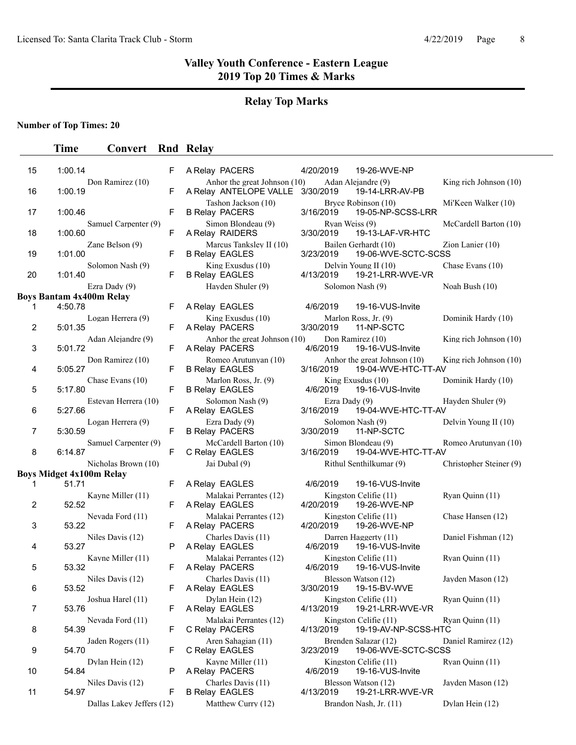# **Relay Top Marks**

**Number of Top Times: 20**

| 15 | 1:00.14                                                | F | A Relay PACERS                                           | 4/20/2019 |                | 19-26-WVE-NP                                        |                          |
|----|--------------------------------------------------------|---|----------------------------------------------------------|-----------|----------------|-----------------------------------------------------|--------------------------|
| 16 | Don Ramirez (10)<br>1:00.19                            | F | Anhor the great Johnson $(10)$<br>A Relay ANTELOPE VALLE | 3/30/2019 |                | Adan Alejandre (9)<br>19-14-LRR-AV-PB               | King rich Johnson $(10)$ |
| 17 | 1:00.46                                                | F | Tashon Jackson (10)<br><b>B Relay PACERS</b>             | 3/16/2019 |                | Bryce Robinson (10)<br>19-05-NP-SCSS-LRR            | Mi'Keen Walker (10)      |
| 18 | Samuel Carpenter (9)<br>1:00.60                        | F | Simon Blondeau (9)<br>A Relay RAIDERS                    | 3/30/2019 | Ryan Weiss (9) | 19-13-LAF-VR-HTC                                    | McCardell Barton (10)    |
| 19 | Zane Belson (9)<br>1:01.00                             | F | Marcus Tanksley II (10)<br><b>B Relay EAGLES</b>         | 3/23/2019 |                | Bailen Gerhardt (10)<br>19-06-WVE-SCTC-SCSS         | Zion Lanier (10)         |
| 20 | Solomon Nash (9)<br>1:01.40                            | F | King Exusdus (10)<br><b>B Relay EAGLES</b>               | 4/13/2019 |                | Delvin Young II (10)<br>19-21-LRR-WVE-VR            | Chase Evans (10)         |
|    | Ezra Dady (9)                                          |   | Hayden Shuler (9)                                        |           |                | Solomon Nash (9)                                    | Noah Bush (10)           |
| 1  | <b>Boys Bantam 4x400m Relay</b><br>4:50.78             | F | A Relay EAGLES                                           |           | 4/6/2019       | 19-16-VUS-Invite                                    |                          |
| 2  | Logan Herrera (9)<br>5:01.35                           | F | King Exusdus (10)<br>A Relay PACERS                      | 3/30/2019 |                | Marlon Ross, Jr. (9)<br>11-NP-SCTC                  | Dominik Hardy (10)       |
| 3  | Adan Alejandre (9)<br>5:01.72                          | F | Anhor the great Johnson (10)<br>A Relay PACERS           |           | 4/6/2019       | Don Ramirez (10)<br>19-16-VUS-Invite                | King rich Johnson $(10)$ |
| 4  | Don Ramirez (10)<br>5:05.27                            | F | Romeo Arutunyan (10)<br><b>B Relay EAGLES</b>            | 3/16/2019 |                | Anhor the great Johnson (10)<br>19-04-WVE-HTC-TT-AV | King rich Johnson (10)   |
| 5  | Chase Evans (10)<br>5:17.80                            | F | Marlon Ross, Jr. (9)<br><b>B Relay EAGLES</b>            |           | 4/6/2019       | King Exusdus $(10)$<br>19-16-VUS-Invite             | Dominik Hardy (10)       |
| 6  | Estevan Herrera (10)<br>5:27.66                        | F | Solomon Nash (9)<br>A Relay EAGLES                       | 3/16/2019 | Ezra Dady (9)  | 19-04-WVE-HTC-TT-AV                                 | Hayden Shuler (9)        |
| 7  | Logan Herrera (9)<br>5:30.59                           | F | Ezra Dady (9)<br><b>B Relay PACERS</b>                   | 3/30/2019 |                | Solomon Nash (9)<br>11-NP-SCTC                      | Delvin Young II (10)     |
| 8  | Samuel Carpenter (9)<br>6:14.87                        | F | McCardell Barton (10)<br>C Relay EAGLES                  | 3/16/2019 |                | Simon Blondeau (9)<br>19-04-WVE-HTC-TT-AV           | Romeo Arutunyan (10)     |
|    | Nicholas Brown (10)<br><b>Boys Midget 4x100m Relay</b> |   | Jai Dubal (9)                                            |           |                | Rithul Senthilkumar (9)                             | Christopher Steiner (9)  |
| 1  | 51.71                                                  | F | A Relay EAGLES                                           |           | 4/6/2019       | 19-16-VUS-Invite                                    |                          |
| 2  | Kayne Miller (11)<br>52.52                             | F | Malakai Perrantes (12)<br>A Relay EAGLES                 | 4/20/2019 |                | Kingston Celifie (11)<br>19-26-WVE-NP               | Ryan Quinn (11)          |
| 3  | Nevada Ford (11)<br>53.22                              | F | Malakai Perrantes (12)<br>A Relay PACERS                 | 4/20/2019 |                | Kingston Celifie (11)<br>19-26-WVE-NP               | Chase Hansen (12)        |
| 4  | Niles Davis (12)<br>53.27                              | P | Charles Davis (11)<br>A Relay EAGLES                     |           | 4/6/2019       | Darren Haggerty (11)<br>19-16-VUS-Invite            | Daniel Fishman (12)      |
| 5  | Kavne Miller (11)<br>53.32                             | F | Malakai Perrantes (12)<br>A Relay PACERS                 |           | 4/6/2019       | Kingston Celifie (11)<br>19-16-VUS-Invite           | Ryan Quinn (11)          |
| 6  | Niles Davis (12)<br>53.52                              | F | Charles Davis (11)<br>A Relay EAGLES                     | 3/30/2019 |                | Blesson Watson (12)<br>19-15-BV-WVE                 | Jayden Mason (12)        |
| 7  | Joshua Harel (11)<br>53.76                             | F | Dylan Hein (12)<br>A Relay EAGLES                        | 4/13/2019 |                | Kingston Celifie (11)<br>19-21-LRR-WVE-VR           | Ryan Quinn (11)          |
| 8  | Nevada Ford (11)<br>54.39                              | F | Malakai Perrantes (12)<br>C Relay PACERS                 | 4/13/2019 |                | Kingston Celifie (11)<br>19-19-AV-NP-SCSS-HTC       | Ryan Quinn (11)          |
| 9  | Jaden Rogers (11)<br>54.70                             | F | Aren Sahagian (11)<br>C Relay EAGLES                     | 3/23/2019 |                | Brenden Salazar (12)<br>19-06-WVE-SCTC-SCSS         | Daniel Ramirez (12)      |
| 10 | Dylan Hein (12)<br>54.84                               | P | Kayne Miller (11)<br>A Relay PACERS                      |           | 4/6/2019       | Kingston Celifie (11)<br>19-16-VUS-Invite           | Ryan Quinn (11)          |
| 11 | Niles Davis (12)<br>54.97                              |   | Charles Davis (11)<br><b>B Relay EAGLES</b>              | 4/13/2019 |                | Blesson Watson (12)<br>19-21-LRR-WVE-VR             | Jayden Mason (12)        |
|    | Dallas Lakey Jeffers (12)                              | F | Matthew Curry (12)                                       |           |                | Brandon Nash, Jr. (11)                              | Dylan Hein (12)          |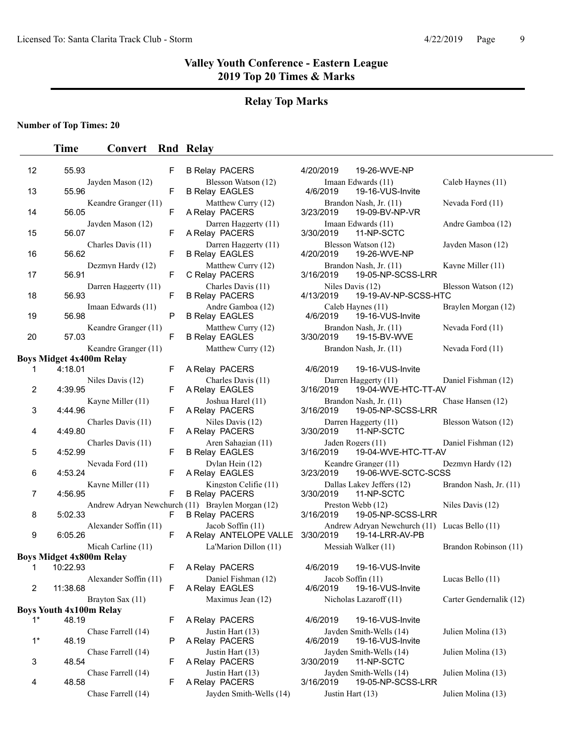# **Relay Top Marks**

## **Number of Top Times: 20**

# **Time Convert Rnd Relay**

| 12             | 55.93                             | F  | <b>B Relay PACERS</b>                                                     | 4/20/2019                     | 19-26-WVE-NP                                       |                |
|----------------|-----------------------------------|----|---------------------------------------------------------------------------|-------------------------------|----------------------------------------------------|----------------|
| 13             | Jayden Mason (12)<br>55.96        | F  | Blesson Watson (12)<br><b>B Relay EAGLES</b>                              | 4/6/2019                      | Imaan Edwards (11)<br>19-16-VUS-Invite             | $C_{\epsilon}$ |
| 14             | Keandre Granger (11)<br>56.05     | F  | Matthew Curry (12)<br>A Relay PACERS                                      | 3/23/2019                     | Brandon Nash, Jr. (11)<br>19-09-BV-NP-VR           | $N_0$          |
| 15             | Jayden Mason (12)<br>56.07        | F  | Darren Haggerty (11)<br>A Relay PACERS                                    | 3/30/2019                     | Imaan Edwards (11)<br>11-NP-SCTC                   | A1             |
| 16             | Charles Davis (11)<br>56.62       | F  | Darren Haggerty (11)<br><b>B Relay EAGLES</b>                             | 4/20/2019                     | Blesson Watson (12)<br>19-26-WVE-NP                | Ja             |
| 17             | Dezmyn Hardy (12)<br>56.91        | F  | Matthew Curry (12)<br>C Relay PACERS                                      | 3/16/2019                     | Brandon Nash, Jr. (11)<br>19-05-NP-SCSS-LRR        | K              |
| 18             | Darren Haggerty (11)<br>56.93     | F  | Charles Davis (11)<br><b>B Relay PACERS</b>                               | Niles Davis (12)<br>4/13/2019 | 19-19-AV-NP-SCSS-HTC                               | Bl             |
| 19             | Imaan Edwards (11)<br>56.98       | P  | Andre Gamboa (12)<br><b>B Relay EAGLES</b>                                | 4/6/2019                      | Caleb Haynes (11)<br>19-16-VUS-Invite              | B <sub>1</sub> |
| 20             | Keandre Granger (11)<br>57.03     | F  | Matthew Curry (12)<br><b>B Relay EAGLES</b>                               | 3/30/2019                     | Brandon Nash, Jr. (11)<br>19-15-BV-WVE             | $N_0$          |
|                | Keandre Granger (11)              |    | Matthew Curry (12)                                                        |                               | Brandon Nash, Jr. (11)                             | $N_0$          |
|                | <b>Boys Midget 4x400m Relay</b>   |    |                                                                           |                               |                                                    |                |
| 1              | 4:18.01                           | F  | A Relay PACERS                                                            | 4/6/2019                      | 19-16-VUS-Invite                                   |                |
|                | Niles Davis (12)                  |    | Charles Davis (11)                                                        |                               | Darren Haggerty (11)                               | $\mathbf{D}$   |
| $\overline{2}$ | 4:39.95<br>Kayne Miller (11)      | F  | A Relay EAGLES<br>Joshua Harel (11)                                       | 3/16/2019                     | 19-04-WVE-HTC-TT-AV                                | Cl             |
| 3              | 4:44.96                           | F  | A Relay PACERS                                                            | 3/16/2019                     | Brandon Nash, Jr. (11)<br>19-05-NP-SCSS-LRR        |                |
| 4              | Charles Davis (11)<br>4:49.80     | F  | Niles Davis (12)<br>A Relay PACERS                                        | 3/30/2019                     | Darren Haggerty (11)<br>11-NP-SCTC                 | B <sub>1</sub> |
| 5              | Charles Davis (11)<br>4:52.99     | F  | Aren Sahagian (11)<br><b>B Relay EAGLES</b>                               | 3/16/2019                     | Jaden Rogers (11)<br>19-04-WVE-HTC-TT-AV           | D              |
| 6              | Nevada Ford (11)<br>4:53.24       | F  | Dylan Hein (12)<br>A Relay EAGLES                                         | 3/23/2019                     | Keandre Granger (11)<br>19-06-WVE-SCTC-SCSS        | D <sub>0</sub> |
| $\overline{7}$ | Kayne Miller (11)<br>4:56.95      | F  | Kingston Celifie (11)<br><b>B Relay PACERS</b>                            | 3/30/2019                     | Dallas Lakey Jeffers (12)<br>11-NP-SCTC            | B <sub>1</sub> |
| 8              | 5:02.33                           | F  | Andrew Adryan Newchurch (11) Braylen Morgan (12)<br><b>B Relay PACERS</b> | 3/16/2019                     | Preston Webb (12)<br>19-05-NP-SCSS-LRR             | Ni             |
| 9              | Alexander Soffin (11)<br>6:05.26  | F  | Jacob Soffin (11)<br>A Relay ANTELOPE VALLE                               | 3/30/2019                     | Andrew Adryan Newchurch (11) Lu<br>19-14-LRR-AV-PB |                |
|                | Micah Carline (11)                |    | La'Marion Dillon (11)                                                     |                               | Messiah Walker (11)                                | B <sub>1</sub> |
|                | <b>Boys Midget 4x800m Relay</b>   |    |                                                                           |                               |                                                    |                |
| 1              | 10:22.93                          | F  | A Relay PACERS                                                            | 4/6/2019                      | 19-16-VUS-Invite                                   |                |
| 2              | Alexander Soffin (11)<br>11:38.68 | F  | Daniel Fishman (12)<br>A Relay EAGLES                                     | Jacob Soffin (11)<br>4/6/2019 | 19-16-VUS-Invite                                   | Lι             |
|                | Brayton Sax (11)                  |    | Maximus Jean (12)                                                         |                               | Nicholas Lazaroff (11)                             | C <sub>i</sub> |
|                | <b>Boys Youth 4x100m Relay</b>    |    |                                                                           |                               |                                                    |                |
| $1^*$          | 48.19                             | F  | A Relay PACERS                                                            | 4/6/2019                      | 19-16-VUS-Invite                                   |                |
| $1^*$          | Chase Farrell (14)<br>48.19       | P  | Justin Hart (13)<br>A Relay PACERS                                        | 4/6/2019                      | Jayden Smith-Wells (14)<br>19-16-VUS-Invite        | Ju             |
| 3              | Chase Farrell (14)<br>48.54       | F. | Justin Hart (13)<br>A Relay PACERS                                        | 3/30/2019                     | Jayden Smith-Wells (14)<br>11-NP-SCTC              | Ju             |
| 4              | Chase Farrell (14)<br>48.58       | F. | Justin Hart (13)<br>A Relay PACERS                                        | 3/16/2019                     | Jayden Smith-Wells (14)<br>19-05-NP-SCSS-LRR       | Ju             |

| Chase Farrell (14) |  |
|--------------------|--|
|                    |  |

| <b>B Relay PACERS</b>                          |
|------------------------------------------------|
| Blesson Watson (12)                            |
| <b>B Relay EAGLES</b>                          |
| Matthew Curry (12)<br>A Relay PACERS           |
| Darren Haggerty (11)                           |
| A Relay PACERS                                 |
| Darren Haggerty (11)<br><b>B Relay EAGLES</b>  |
| Matthew Curry (12)<br>C Relay PACERS           |
| Charles Davis (11)<br><b>B Relay PACERS</b>    |
| Andre Gamboa (12)<br><b>B Relay EAGLES</b>     |
| Matthew Curry (12)                             |
| <b>B Relay EAGLES</b>                          |
| Matthew Curry (12)                             |
| A Relay PACERS                                 |
| Charles Davis (11)                             |
| A Relay EAGLES                                 |
| Joshua Harel (11)<br>A Relay PACERS            |
| Niles Davis (12)                               |
| A Relay PACERS                                 |
| Aren Sahagian (11)<br><b>B Relay EAGLES</b>    |
| Dylan Hein (12)                                |
| A Relay EAGLES                                 |
| Kingston Celifie (11)<br><b>B Relay PACERS</b> |
| (11) Braylen Morgan (12)                       |
| <b>B Relay PACERS</b>                          |
| Jacob Soffin (11)                              |
| A Relay ANTELOPE VALLE                         |
| La'Marion Dillon (11)                          |
| A Relay PACERS                                 |
| Daniel Fishman (12)                            |
| A Relay EAGLES                                 |
| Maximus Jean (12)                              |
| A Relay PACERS                                 |
| Justin Hart (13)                               |
| A Relay PACERS                                 |
|                                                |

|                                  | F | <b>B Relay PACERS</b>                                                     | 4/20/2019                     | 19-26-WVE-NP                                    |                         |
|----------------------------------|---|---------------------------------------------------------------------------|-------------------------------|-------------------------------------------------|-------------------------|
| Jayden Mason (12)                | F | Blesson Watson (12)<br><b>B Relay EAGLES</b>                              | 4/6/2019                      | Imaan Edwards (11)<br>19-16-VUS-Invite          | Caleb Haynes (11)       |
| Keandre Granger (11)             | F | Matthew Curry (12)<br>A Relay PACERS                                      | 3/23/2019                     | Brandon Nash, Jr. (11)<br>19-09-BV-NP-VR        | Nevada Ford (11)        |
| Jayden Mason (12)                | F | Darren Haggerty (11)<br>A Relay PACERS                                    | 3/30/2019                     | Imaan Edwards (11)<br>11-NP-SCTC                | Andre Gamboa (12)       |
| Charles Davis (11)               | F | Darren Haggerty (11)<br><b>B Relay EAGLES</b>                             | 4/20/2019                     | Blesson Watson (12)<br>19-26-WVE-NP             | Jayden Mason (12)       |
| Dezmyn Hardy (12)                | F | Matthew Curry (12)<br>C Relay PACERS                                      | 3/16/2019                     | Brandon Nash, Jr. (11)<br>19-05-NP-SCSS-LRR     | Kayne Miller (11)       |
| Darren Haggerty (11)             | F | Charles Davis (11)<br><b>B Relay PACERS</b>                               | Niles Davis (12)<br>4/13/2019 | 19-19-AV-NP-SCSS-HTC                            | Blesson Watson (12)     |
| Imaan Edwards (11)               | P | Andre Gamboa (12)<br><b>B Relay EAGLES</b>                                | 4/6/2019                      | Caleb Haynes (11)<br>19-16-VUS-Invite           | Braylen Morgan (12)     |
| Keandre Granger (11)             | F | Matthew Curry (12)<br><b>B Relay EAGLES</b>                               | 3/30/2019                     | Brandon Nash, Jr. (11)<br>19-15-BV-WVE          | Nevada Ford (11)        |
| Keandre Granger (11)<br>0m Relay |   | Matthew Curry (12)                                                        |                               | Brandon Nash, Jr. (11)                          | Nevada Ford (11)        |
|                                  | F | A Relay PACERS                                                            | 4/6/2019                      | 19-16-VUS-Invite                                |                         |
| Niles Davis (12)                 | F | Charles Davis (11)<br>A Relay EAGLES                                      | 3/16/2019                     | Darren Haggerty (11)<br>19-04-WVE-HTC-TT-AV     | Daniel Fishman (12)     |
| Kayne Miller (11)                | F | Joshua Harel (11)<br>A Relay PACERS                                       | 3/16/2019                     | Brandon Nash, Jr. (11)<br>19-05-NP-SCSS-LRR     | Chase Hansen (12)       |
| Charles Davis (11)               | F | Niles Davis (12)<br>A Relay PACERS                                        | 3/30/2019                     | Darren Haggerty (11)<br>11-NP-SCTC              | Blesson Watson (12)     |
| Charles Davis (11)               | F | Aren Sahagian (11)<br><b>B Relay EAGLES</b>                               | 3/16/2019                     | Jaden Rogers (11)<br>19-04-WVE-HTC-TT-AV        | Daniel Fishman (12)     |
| Nevada Ford (11)                 | F | Dylan Hein (12)<br>A Relay EAGLES                                         | 3/23/2019                     | Keandre Granger (11)<br>19-06-WVE-SCTC-SCSS     | Dezmyn Hardy (12)       |
| Kayne Miller (11)                | F | Kingston Celifie (11)<br><b>B Relay PACERS</b>                            | 3/30/2019                     | Dallas Lakey Jeffers (12)<br>11-NP-SCTC         | Brandon Nash, Jr. (11)  |
|                                  | F | Andrew Adryan Newchurch (11) Braylen Morgan (12)<br><b>B Relay PACERS</b> | 3/16/2019                     | Preston Webb (12)<br>19-05-NP-SCSS-LRR          | Niles Davis (12)        |
| Alexander Soffin (11)            | F | Jacob Soffin (11)<br>A Relay ANTELOPE VALLE                               | 3/30/2019                     | Andrew Adryan Newchurch (11)<br>19-14-LRR-AV-PB | Lucas Bello $(11)$      |
| Micah Carline (11)<br>0m Relay   |   | La'Marion Dillon (11)                                                     |                               | Messiah Walker (11)                             | Brandon Robinson (11)   |
|                                  | F | A Relay PACERS                                                            | 4/6/2019                      | 19-16-VUS-Invite                                |                         |
| Alexander Soffin (11)            | F | Daniel Fishman (12)<br>A Relay EAGLES                                     | 4/6/2019                      | Jacob Soffin (11)<br>19-16-VUS-Invite           | Lucas Bello (11)        |
| Brayton Sax (11)<br>m Relay      |   | Maximus Jean (12)                                                         |                               | Nicholas Lazaroff (11)                          | Carter Gendernalik (12) |
|                                  | F | A Relay PACERS                                                            | 4/6/2019                      | 19-16-VUS-Invite                                |                         |
| Chase Farrell (14)               | P | Justin Hart (13)<br>A Relay PACERS                                        | 4/6/2019                      | Jayden Smith-Wells (14)<br>19-16-VUS-Invite     | Julien Molina (13)      |
| Chase Farrell (14)               | F | Justin Hart (13)<br>A Relay PACERS                                        | 3/30/2019                     | Jayden Smith-Wells (14)<br>11-NP-SCTC           | Julien Molina (13)      |
| Chase Farrell (14)               | F | Justin Hart (13)<br>A Relay PACERS                                        | 3/16/2019                     | Jayden Smith-Wells (14)<br>19-05-NP-SCSS-LRR    | Julien Molina (13)      |
| Chase Farrell (14)               |   | Jayden Smith-Wells (14)                                                   | Justin Hart (13)              |                                                 | Julien Molina (13)      |
|                                  |   |                                                                           |                               |                                                 |                         |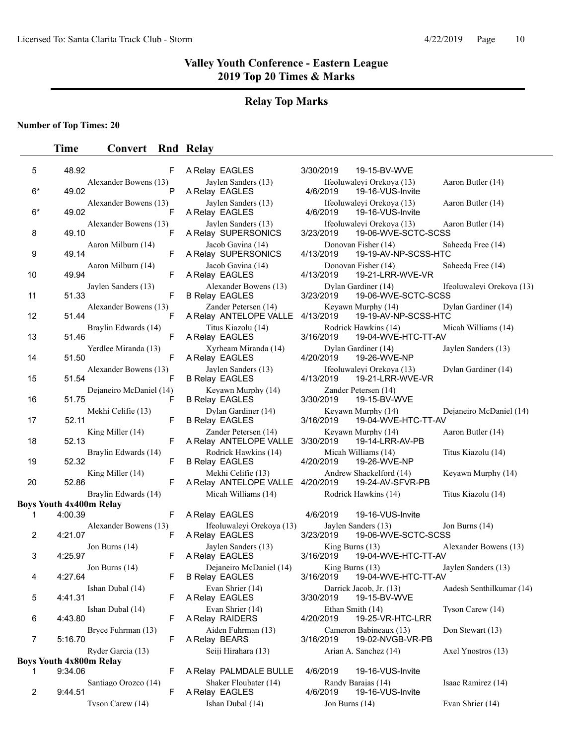# **Relay Top Marks**

**Number of Top Times: 20**

| 5    | 48.92                                     | F                            | A Relay EAGLES                                   | 3/30/2019<br>19-15-BV-WVE                                                            |
|------|-------------------------------------------|------------------------------|--------------------------------------------------|--------------------------------------------------------------------------------------|
| $6*$ | 49.02                                     | Alexander Bowens (13)<br>Р   | Jaylen Sanders (13)<br>A Relay EAGLES            | Ifeoluwaleyi Orekoya (13)<br>Aaron Butler (14)<br>4/6/2019<br>19-16-VUS-Invite       |
| $6*$ | 49.02                                     | Alexander Bowens (13)<br>F   | Jaylen Sanders (13)<br>A Relay EAGLES            | Ifeoluwaleyi Orekoya (13)<br>Aaron Butler (14)<br>4/6/2019<br>19-16-VUS-Invite       |
| 8    | 49.10                                     | Alexander Bowens (13)<br>F   | Jaylen Sanders (13)<br>A Relay SUPERSONICS       | Ifeoluwaleyi Orekoya (13)<br>Aaron Butler (14)<br>3/23/2019<br>19-06-WVE-SCTC-SCSS   |
| 9    | 49.14                                     | Aaron Milburn (14)<br>F      | Jacob Gavina (14)<br>A Relay SUPERSONICS         | Donovan Fisher (14)<br>Saheedg Free (14)<br>19-19-AV-NP-SCSS-HTC<br>4/13/2019        |
| 10   | 49.94                                     | Aaron Milburn (14)<br>F      | Jacob Gavina (14)<br>A Relay EAGLES              | Donovan Fisher (14)<br>Saheedq Free (14)<br>4/13/2019<br>19-21-LRR-WVE-VR            |
| 11   | 51.33                                     | Jaylen Sanders (13)<br>F     | Alexander Bowens (13)<br><b>B Relay EAGLES</b>   | Dylan Gardiner (14)<br>Ifeoluwaleyi Orekoya (13)<br>3/23/2019<br>19-06-WVE-SCTC-SCSS |
| 12   | 51.44                                     | Alexander Bowens (13)<br>F   | Zander Petersen (14)<br>A Relay ANTELOPE VALLE   | Dylan Gardiner (14)<br>Keyawn Murphy (14)<br>4/13/2019<br>19-19-AV-NP-SCSS-HTC       |
| 13   | 51.46                                     | Braylin Edwards (14)<br>F    | Titus Kiazolu (14)<br>A Relay EAGLES             | Rodrick Hawkins (14)<br>Micah Williams (14)<br>3/16/2019<br>19-04-WVE-HTC-TT-AV      |
| 14   | 51.50                                     | Yerdlee Miranda (13)<br>F    | Xyrheam Miranda (14)<br>A Relay EAGLES           | Dylan Gardiner (14)<br>Jaylen Sanders (13)<br>4/20/2019<br>19-26-WVE-NP              |
| 15   | 51.54                                     | Alexander Bowens (13)<br>F   | Jaylen Sanders (13)<br><b>B Relay EAGLES</b>     | Ifeoluwaleyi Orekoya (13)<br>Dylan Gardiner (14)<br>4/13/2019<br>19-21-LRR-WVE-VR    |
| 16   | 51.75                                     | Dejaneiro McDaniel (14)<br>F | Keyawn Murphy (14)<br><b>B Relay EAGLES</b>      | Zander Petersen (14)<br>3/30/2019<br>19-15-BV-WVE                                    |
| 17   | 52.11                                     | Mekhi Celifie (13)<br>F      | Dylan Gardiner (14)<br><b>B Relay EAGLES</b>     | Keyawn Murphy (14)<br>Dejaneiro McDaniel (14)<br>3/16/2019<br>19-04-WVE-HTC-TT-AV    |
| 18   | 52.13                                     | King Miller (14)<br>F        | Zander Petersen (14)<br>A Relay ANTELOPE VALLE   | Keyawn Murphy (14)<br>Aaron Butler (14)<br>3/30/2019<br>19-14-LRR-AV-PB              |
| 19   | 52.32                                     | Braylin Edwards (14)<br>F    | Rodrick Hawkins (14)<br><b>B Relay EAGLES</b>    | Micah Williams (14)<br>Titus Kiazolu (14)<br>4/20/2019<br>19-26-WVE-NP               |
| 20   | 52.86                                     | King Miller (14)<br>F        | Mekhi Celifie (13)<br>A Relay ANTELOPE VALLE     | Andrew Shackelford (14)<br>Keyawn Murphy (14)<br>19-24-AV-SFVR-PB<br>4/20/2019       |
|      | <b>Boys Youth 4x400m Relay</b>            | Braylin Edwards (14)         | Micah Williams (14)                              | Rodrick Hawkins (14)<br>Titus Kiazolu (14)                                           |
| 1    | 4:00.39                                   | F                            | A Relay EAGLES                                   | 4/6/2019<br>19-16-VUS-Invite                                                         |
| 2    | 4:21.07                                   | Alexander Bowens (13)<br>F   | Ifeoluwaleyi Orekoya (13)<br>A Relay EAGLES      | Jaylen Sanders (13)<br>Jon Burns $(14)$<br>3/23/2019<br>19-06-WVE-SCTC-SCSS          |
| 3    | 4:25.97                                   | Jon Burns (14)<br>F          | Jaylen Sanders (13)<br>A Relay EAGLES            | Alexander Bowens (13)<br>King Burns $(13)$<br>3/16/2019<br>19-04-WVE-HTC-TT-AV       |
| 4    | 4:27.64                                   | Jon Burns (14)<br>F          | Dejaneiro McDaniel (14)<br><b>B Relay EAGLES</b> | King Burns $(13)$<br>Jaylen Sanders (13)<br>19-04-WVE-HTC-TT-AV<br>3/16/2019         |
| 5    | 4:41.31                                   | Ishan Dubal (14)<br>F        | Evan Shrier (14)<br>A Relay EAGLES               | Darrick Jacob, Jr. (13)<br>Aadesh Senthilkumar (14)<br>3/30/2019<br>19-15-BV-WVE     |
| 6    | 4:43.80                                   | Ishan Dubal (14)<br>F        | Evan Shrier (14)<br>A Relay RAIDERS              | Ethan Smith (14)<br>Tyson Carew (14)<br>19-25-VR-HTC-LRR<br>4/20/2019                |
| 7    | 5:16.70                                   | Bryce Fuhrman (13)<br>F      | Aiden Fuhrman (13)<br>A Relay BEARS              | Cameron Babineaux (13)<br>Don Stewart (13)<br>19-02-NVGB-VR-PB<br>3/16/2019          |
|      |                                           | Ryder Garcia (13)            | Seiji Hirahara (13)                              | Arian A. Sanchez (14)<br>Axel Ynostros (13)                                          |
| 1    | <b>Boys Youth 4x800m Relay</b><br>9:34.06 | F                            | A Relay PALMDALE BULLE                           | 4/6/2019<br>19-16-VUS-Invite                                                         |
| 2    | 9:44.51                                   | Santiago Orozco (14)<br>F    | Shaker Floubater (14)<br>A Relay EAGLES          | Randy Barajas (14)<br>Isaac Ramirez (14)<br>4/6/2019<br>19-16-VUS-Invite             |
|      |                                           | Tyson Carew (14)             | Ishan Dubal (14)                                 | Evan Shrier (14)<br>Jon Burns $(14)$                                                 |